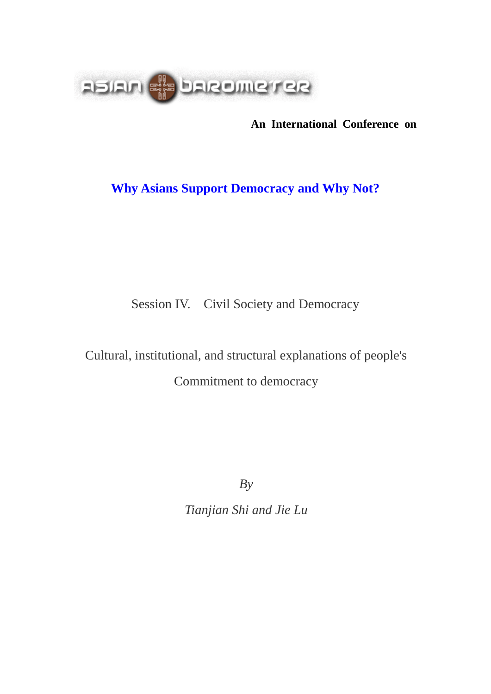

**An International Conference on**

# **Why Asians Support Democracy and Why Not?**

Session IV. Civil Society and Democracy

Cultural, institutional, and structural explanations of people's Commitment to democracy

*By*

*Tianjian Shi and Jie Lu*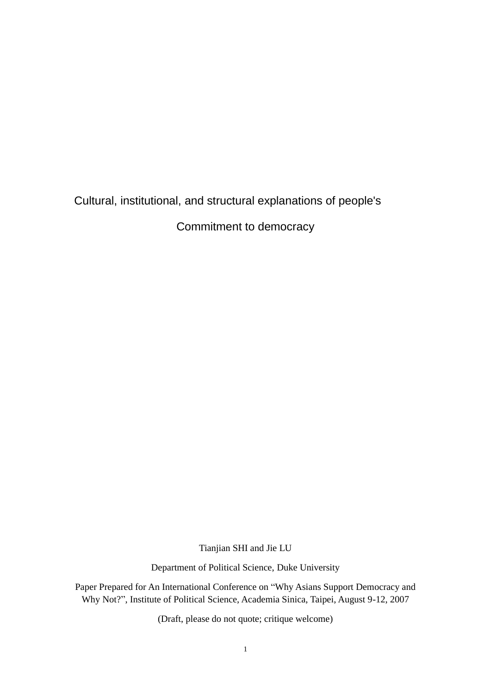# Cultural, institutional, and structural explanations of people's

Commitment to democracy

Tianjian SHI and Jie LU

Department of Political Science, Duke University

Paper Prepared for An International Conference on "Why Asians Support Democracy and Why Not?", Institute of Political Science, Academia Sinica, Taipei, August 9-12, 2007

(Draft, please do not quote; critique welcome)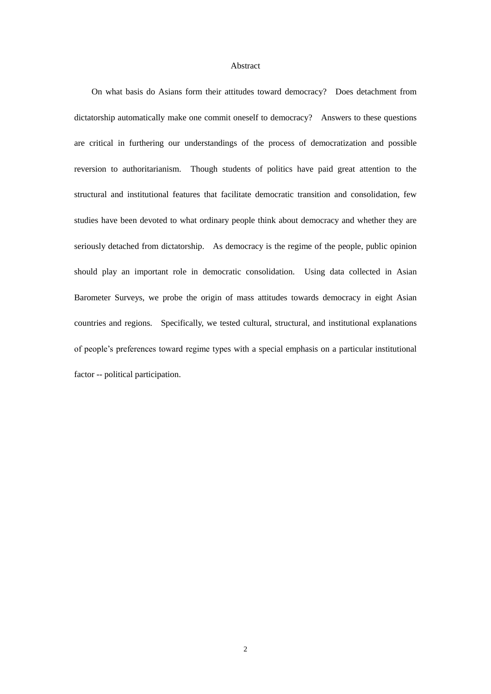#### Abstract

On what basis do Asians form their attitudes toward democracy? Does detachment from dictatorship automatically make one commit oneself to democracy? Answers to these questions are critical in furthering our understandings of the process of democratization and possible reversion to authoritarianism. Though students of politics have paid great attention to the structural and institutional features that facilitate democratic transition and consolidation, few studies have been devoted to what ordinary people think about democracy and whether they are seriously detached from dictatorship. As democracy is the regime of the people, public opinion should play an important role in democratic consolidation. Using data collected in Asian Barometer Surveys, we probe the origin of mass attitudes towards democracy in eight Asian countries and regions. Specifically, we tested cultural, structural, and institutional explanations of people's preferences toward regime types with a special emphasis on a particular institutional factor -- political participation.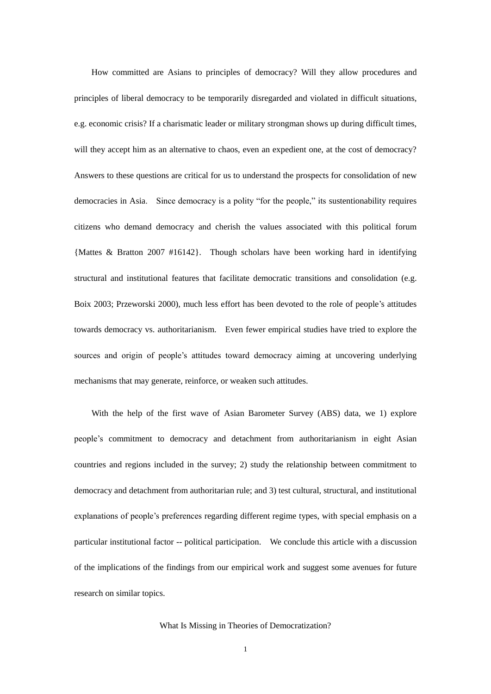How committed are Asians to principles of democracy? Will they allow procedures and principles of liberal democracy to be temporarily disregarded and violated in difficult situations, e.g. economic crisis? If a charismatic leader or military strongman shows up during difficult times, will they accept him as an alternative to chaos, even an expedient one, at the cost of democracy? Answers to these questions are critical for us to understand the prospects for consolidation of new democracies in Asia. Since democracy is a polity "for the people," its sustentionability requires citizens who demand democracy and cherish the values associated with this political forum {Mattes & Bratton 2007 #16142}. Though scholars have been working hard in identifying structural and institutional features that facilitate democratic transitions and consolidation (e.g. Boix 2003; Przeworski 2000), much less effort has been devoted to the role of people's attitudes towards democracy vs. authoritarianism. Even fewer empirical studies have tried to explore the sources and origin of people's attitudes toward democracy aiming at uncovering underlying mechanisms that may generate, reinforce, or weaken such attitudes.

With the help of the first wave of Asian Barometer Survey (ABS) data, we 1) explore people's commitment to democracy and detachment from authoritarianism in eight Asian countries and regions included in the survey; 2) study the relationship between commitment to democracy and detachment from authoritarian rule; and 3) test cultural, structural, and institutional explanations of people's preferences regarding different regime types, with special emphasis on a particular institutional factor -- political participation. We conclude this article with a discussion of the implications of the findings from our empirical work and suggest some avenues for future research on similar topics.

#### What Is Missing in Theories of Democratization?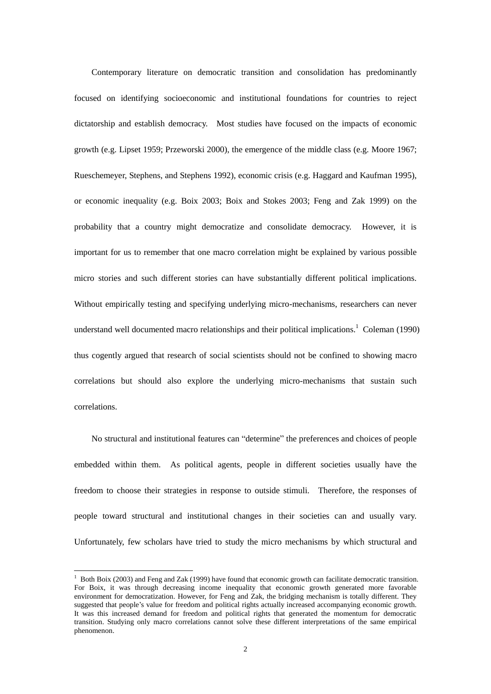Contemporary literature on democratic transition and consolidation has predominantly focused on identifying socioeconomic and institutional foundations for countries to reject dictatorship and establish democracy. Most studies have focused on the impacts of economic growth (e.g. Lipset 1959; Przeworski 2000), the emergence of the middle class (e.g. Moore 1967; Rueschemeyer, Stephens, and Stephens 1992), economic crisis (e.g. Haggard and Kaufman 1995), or economic inequality (e.g. Boix 2003; Boix and Stokes 2003; Feng and Zak 1999) on the probability that a country might democratize and consolidate democracy. However, it is important for us to remember that one macro correlation might be explained by various possible micro stories and such different stories can have substantially different political implications. Without empirically testing and specifying underlying micro-mechanisms, researchers can never understand well documented macro relationships and their political implications.<sup>1</sup> Coleman (1990) thus cogently argued that research of social scientists should not be confined to showing macro correlations but should also explore the underlying micro-mechanisms that sustain such correlations.

No structural and institutional features can "determine" the preferences and choices of people embedded within them. As political agents, people in different societies usually have the freedom to choose their strategies in response to outside stimuli. Therefore, the responses of people toward structural and institutional changes in their societies can and usually vary. Unfortunately, few scholars have tried to study the micro mechanisms by which structural and

 $1$  Both Boix (2003) and Feng and Zak (1999) have found that economic growth can facilitate democratic transition. For Boix, it was through decreasing income inequality that economic growth generated more favorable environment for democratization. However, for Feng and Zak, the bridging mechanism is totally different. They suggested that people's value for freedom and political rights actually increased accompanying economic growth. It was this increased demand for freedom and political rights that generated the momentum for democratic transition. Studying only macro correlations cannot solve these different interpretations of the same empirical phenomenon.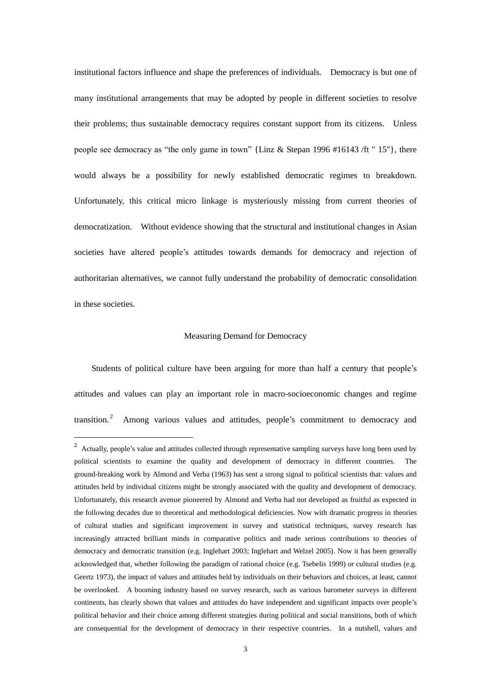institutional factors influence and shape the preferences of individuals. Democracy is but one of many institutional arrangements that may be adopted by people in different societies to resolve their problems; thus sustainable democracy requires constant support from its citizens. Unless people see democracy as "the only game in town" {Linz & Stepan 1996 #16143 /ft " 15"}, there would always be a possibility for newly established democratic regimes to breakdown. Unfortunately, this critical micro linkage is mysteriously missing from current theories of democratization. Without evidence showing that the structural and institutional changes in Asian societies have altered people's attitudes towards demands for democracy and rejection of authoritarian alternatives, we cannot fully understand the probability of democratic consolidation in these societies.

#### Measuring Demand for Democracy

Students of political culture have been arguing for more than half a century that people's attitudes and values can play an important role in macro-socioeconomic changes and regime transition. 2 Among various values and attitudes, people's commitment to democracy and

<sup>&</sup>lt;sup>2</sup> Actually, people's value and attitudes collected through representative sampling surveys have long been used by political scientists to examine the quality and development of democracy in different countries. The ground-breaking work by Almond and Verba (1963) has sent a strong signal to political scientists that: values and attitudes held by individual citizens might be strongly associated with the quality and development of democracy. Unfortunately, this research avenue pioneered by Almond and Verba had not developed as fruitful as expected in the following decades due to theoretical and methodological deficiencies. Now with dramatic progress in theories of cultural studies and significant improvement in survey and statistical techniques, survey research has increasingly attracted brilliant minds in comparative politics and made serious contributions to theories of democracy and democratic transition (e.g. Inglehart 2003; Inglehart and Welzel 2005). Now it has been generally acknowledged that, whether following the paradigm of rational choice (e.g. Tsebelis 1999) or cultural studies (e.g. Geertz 1973), the impact of values and attitudes held by individuals on their behaviors and choices, at least, cannot be overlooked. A booming industry based on survey research, such as various barometer surveys in different continents, has clearly shown that values and attitudes do have independent and significant impacts over people's political behavior and their choice among different strategies during political and social transitions, both of which are consequential for the development of democracy in their respective countries. In a nutshell, values and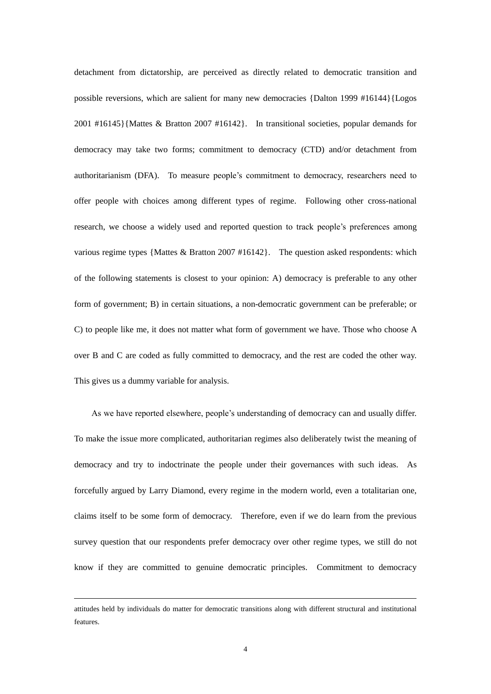detachment from dictatorship, are perceived as directly related to democratic transition and possible reversions, which are salient for many new democracies {Dalton 1999 #16144}{Logos 2001 #16145}{Mattes & Bratton 2007 #16142}. In transitional societies, popular demands for democracy may take two forms; commitment to democracy (CTD) and/or detachment from authoritarianism (DFA). To measure people's commitment to democracy, researchers need to offer people with choices among different types of regime. Following other cross-national research, we choose a widely used and reported question to track people's preferences among various regime types {Mattes & Bratton 2007 #16142}. The question asked respondents: which of the following statements is closest to your opinion: A) democracy is preferable to any other form of government; B) in certain situations, a non-democratic government can be preferable; or C) to people like me, it does not matter what form of government we have. Those who choose A over B and C are coded as fully committed to democracy, and the rest are coded the other way. This gives us a dummy variable for analysis.

As we have reported elsewhere, people's understanding of democracy can and usually differ. To make the issue more complicated, authoritarian regimes also deliberately twist the meaning of democracy and try to indoctrinate the people under their governances with such ideas. As forcefully argued by Larry Diamond, every regime in the modern world, even a totalitarian one, claims itself to be some form of democracy. Therefore, even if we do learn from the previous survey question that our respondents prefer democracy over other regime types, we still do not know if they are committed to genuine democratic principles. Commitment to democracy

attitudes held by individuals do matter for democratic transitions along with different structural and institutional features.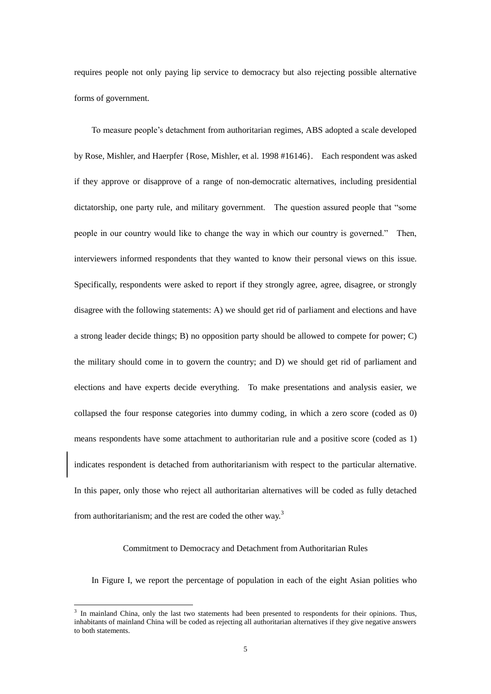requires people not only paying lip service to democracy but also rejecting possible alternative forms of government.

To measure people's detachment from authoritarian regimes, ABS adopted a scale developed by Rose, Mishler, and Haerpfer {Rose, Mishler, et al. 1998 #16146}. Each respondent was asked if they approve or disapprove of a range of non-democratic alternatives, including presidential dictatorship, one party rule, and military government. The question assured people that "some people in our country would like to change the way in which our country is governed." Then, interviewers informed respondents that they wanted to know their personal views on this issue. Specifically, respondents were asked to report if they strongly agree, agree, disagree, or strongly disagree with the following statements: A) we should get rid of parliament and elections and have a strong leader decide things; B) no opposition party should be allowed to compete for power; C) the military should come in to govern the country; and D) we should get rid of parliament and elections and have experts decide everything. To make presentations and analysis easier, we collapsed the four response categories into dummy coding, in which a zero score (coded as 0) means respondents have some attachment to authoritarian rule and a positive score (coded as 1) indicates respondent is detached from authoritarianism with respect to the particular alternative. In this paper, only those who reject all authoritarian alternatives will be coded as fully detached from authoritarianism; and the rest are coded the other way.<sup>3</sup>

#### Commitment to Democracy and Detachment from Authoritarian Rules

In Figure I, we report the percentage of population in each of the eight Asian polities who

<u>.</u>

<sup>&</sup>lt;sup>3</sup> In mainland China, only the last two statements had been presented to respondents for their opinions. Thus, inhabitants of mainland China will be coded as rejecting all authoritarian alternatives if they give negative answers to both statements.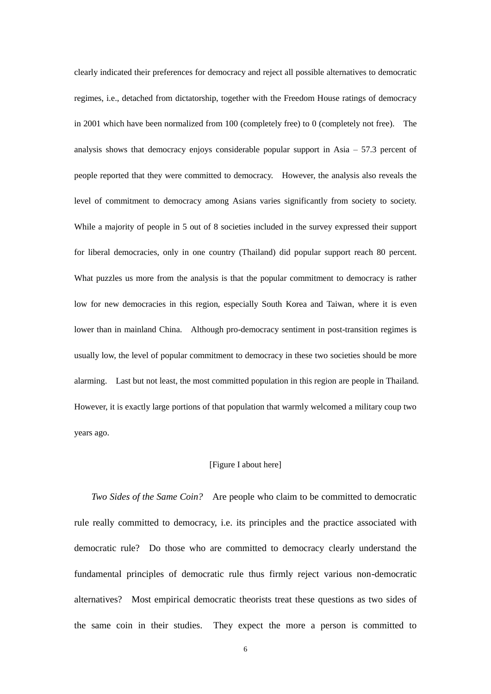clearly indicated their preferences for democracy and reject all possible alternatives to democratic regimes, i.e., detached from dictatorship, together with the Freedom House ratings of democracy in 2001 which have been normalized from 100 (completely free) to 0 (completely not free). The analysis shows that democracy enjoys considerable popular support in Asia  $-57.3$  percent of people reported that they were committed to democracy. However, the analysis also reveals the level of commitment to democracy among Asians varies significantly from society to society. While a majority of people in 5 out of 8 societies included in the survey expressed their support for liberal democracies, only in one country (Thailand) did popular support reach 80 percent. What puzzles us more from the analysis is that the popular commitment to democracy is rather low for new democracies in this region, especially South Korea and Taiwan, where it is even lower than in mainland China. Although pro-democracy sentiment in post-transition regimes is usually low, the level of popular commitment to democracy in these two societies should be more alarming. Last but not least, the most committed population in this region are people in Thailand. However, it is exactly large portions of that population that warmly welcomed a military coup two years ago.

#### [Figure I about here]

*Two Sides of the Same Coin?* Are people who claim to be committed to democratic rule really committed to democracy, i.e. its principles and the practice associated with democratic rule? Do those who are committed to democracy clearly understand the fundamental principles of democratic rule thus firmly reject various non-democratic alternatives? Most empirical democratic theorists treat these questions as two sides of the same coin in their studies. They expect the more a person is committed to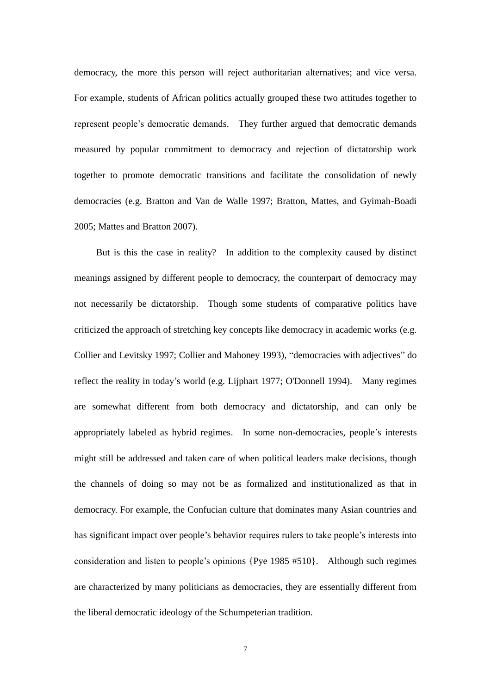democracy, the more this person will reject authoritarian alternatives; and vice versa. For example, students of African politics actually grouped these two attitudes together to represent people's democratic demands. They further argued that democratic demands measured by popular commitment to democracy and rejection of dictatorship work together to promote democratic transitions and facilitate the consolidation of newly democracies (e.g. Bratton and Van de Walle 1997; Bratton, Mattes, and Gyimah-Boadi 2005; Mattes and Bratton 2007).

But is this the case in reality? In addition to the complexity caused by distinct meanings assigned by different people to democracy, the counterpart of democracy may not necessarily be dictatorship. Though some students of comparative politics have criticized the approach of stretching key concepts like democracy in academic works (e.g. Collier and Levitsky 1997; Collier and Mahoney 1993), "democracies with adjectives" do reflect the reality in today's world (e.g. Lijphart 1977; O'Donnell 1994). Many regimes are somewhat different from both democracy and dictatorship, and can only be appropriately labeled as hybrid regimes. In some non-democracies, people's interests might still be addressed and taken care of when political leaders make decisions, though the channels of doing so may not be as formalized and institutionalized as that in democracy. For example, the Confucian culture that dominates many Asian countries and has significant impact over people's behavior requires rulers to take people's interests into consideration and listen to people's opinions {Pye 1985 #510}. Although such regimes are characterized by many politicians as democracies, they are essentially different from the liberal democratic ideology of the Schumpeterian tradition.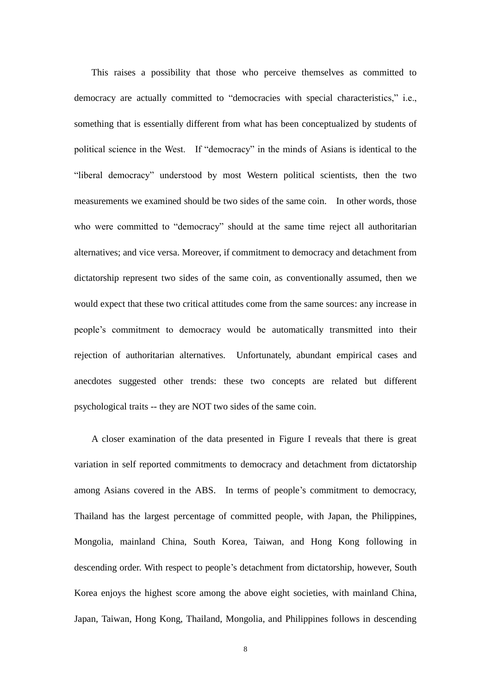This raises a possibility that those who perceive themselves as committed to democracy are actually committed to "democracies with special characteristics," i.e., something that is essentially different from what has been conceptualized by students of political science in the West. If "democracy" in the minds of Asians is identical to the "liberal democracy" understood by most Western political scientists, then the two measurements we examined should be two sides of the same coin. In other words, those who were committed to "democracy" should at the same time reject all authoritarian alternatives; and vice versa. Moreover, if commitment to democracy and detachment from dictatorship represent two sides of the same coin, as conventionally assumed, then we would expect that these two critical attitudes come from the same sources: any increase in people's commitment to democracy would be automatically transmitted into their rejection of authoritarian alternatives. Unfortunately, abundant empirical cases and anecdotes suggested other trends: these two concepts are related but different psychological traits -- they are NOT two sides of the same coin.

A closer examination of the data presented in Figure I reveals that there is great variation in self reported commitments to democracy and detachment from dictatorship among Asians covered in the ABS. In terms of people's commitment to democracy, Thailand has the largest percentage of committed people, with Japan, the Philippines, Mongolia, mainland China, South Korea, Taiwan, and Hong Kong following in descending order. With respect to people's detachment from dictatorship, however, South Korea enjoys the highest score among the above eight societies, with mainland China, Japan, Taiwan, Hong Kong, Thailand, Mongolia, and Philippines follows in descending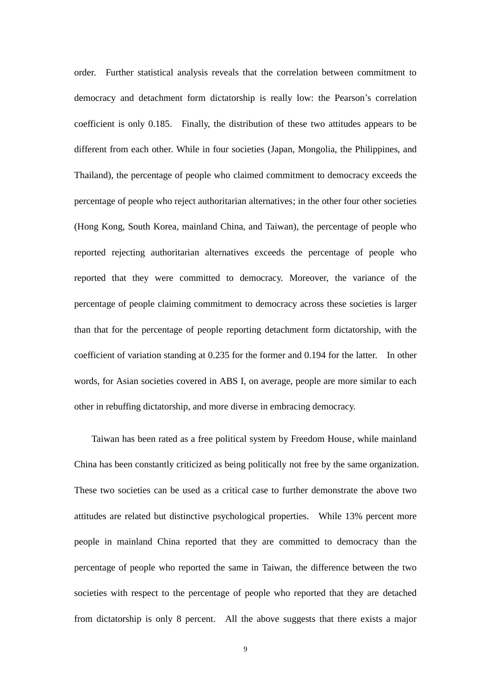order. Further statistical analysis reveals that the correlation between commitment to democracy and detachment form dictatorship is really low: the Pearson's correlation coefficient is only 0.185. Finally, the distribution of these two attitudes appears to be different from each other. While in four societies (Japan, Mongolia, the Philippines, and Thailand), the percentage of people who claimed commitment to democracy exceeds the percentage of people who reject authoritarian alternatives; in the other four other societies (Hong Kong, South Korea, mainland China, and Taiwan), the percentage of people who reported rejecting authoritarian alternatives exceeds the percentage of people who reported that they were committed to democracy. Moreover, the variance of the percentage of people claiming commitment to democracy across these societies is larger than that for the percentage of people reporting detachment form dictatorship, with the coefficient of variation standing at 0.235 for the former and 0.194 for the latter. In other words, for Asian societies covered in ABS I, on average, people are more similar to each other in rebuffing dictatorship, and more diverse in embracing democracy.

Taiwan has been rated as a free political system by Freedom House, while mainland China has been constantly criticized as being politically not free by the same organization. These two societies can be used as a critical case to further demonstrate the above two attitudes are related but distinctive psychological properties. While 13% percent more people in mainland China reported that they are committed to democracy than the percentage of people who reported the same in Taiwan, the difference between the two societies with respect to the percentage of people who reported that they are detached from dictatorship is only 8 percent. All the above suggests that there exists a major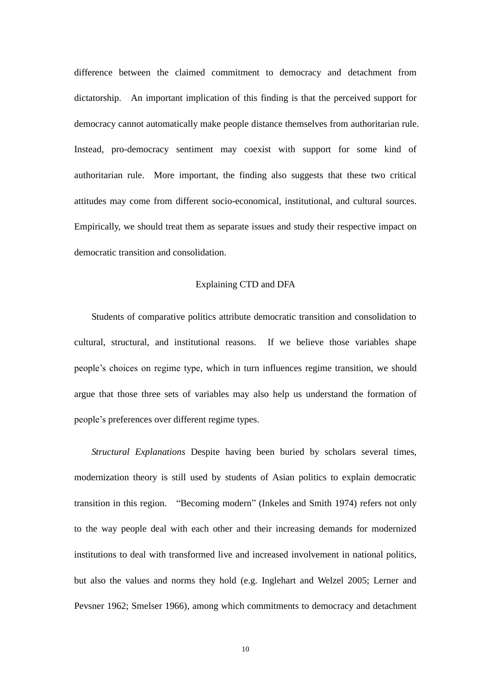difference between the claimed commitment to democracy and detachment from dictatorship. An important implication of this finding is that the perceived support for democracy cannot automatically make people distance themselves from authoritarian rule. Instead, pro-democracy sentiment may coexist with support for some kind of authoritarian rule. More important, the finding also suggests that these two critical attitudes may come from different socio-economical, institutional, and cultural sources. Empirically, we should treat them as separate issues and study their respective impact on democratic transition and consolidation.

#### Explaining CTD and DFA

Students of comparative politics attribute democratic transition and consolidation to cultural, structural, and institutional reasons. If we believe those variables shape people's choices on regime type, which in turn influences regime transition, we should argue that those three sets of variables may also help us understand the formation of people's preferences over different regime types.

*Structural Explanations* Despite having been buried by scholars several times, modernization theory is still used by students of Asian politics to explain democratic transition in this region. "Becoming modern" (Inkeles and Smith 1974) refers not only to the way people deal with each other and their increasing demands for modernized institutions to deal with transformed live and increased involvement in national politics, but also the values and norms they hold (e.g. Inglehart and Welzel 2005; Lerner and Pevsner 1962; Smelser 1966), among which commitments to democracy and detachment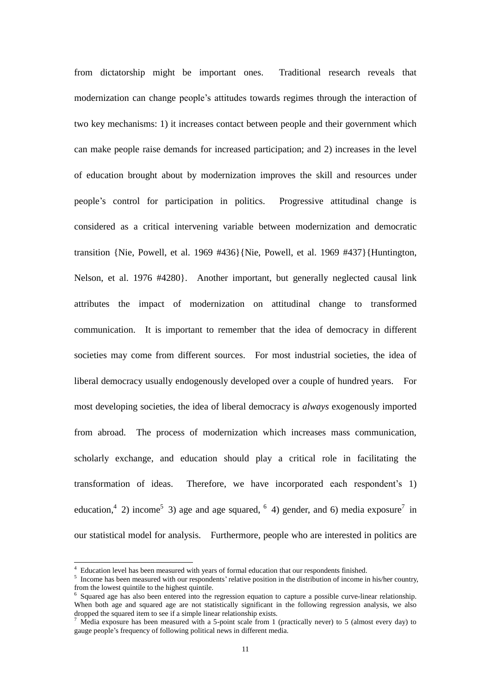from dictatorship might be important ones. Traditional research reveals that modernization can change people's attitudes towards regimes through the interaction of two key mechanisms: 1) it increases contact between people and their government which can make people raise demands for increased participation; and 2) increases in the level of education brought about by modernization improves the skill and resources under people's control for participation in politics. Progressive attitudinal change is considered as a critical intervening variable between modernization and democratic transition {Nie, Powell, et al. 1969 #436}{Nie, Powell, et al. 1969 #437}{Huntington, Nelson, et al. 1976 #4280}. Another important, but generally neglected causal link attributes the impact of modernization on attitudinal change to transformed communication. It is important to remember that the idea of democracy in different societies may come from different sources. For most industrial societies, the idea of liberal democracy usually endogenously developed over a couple of hundred years. For most developing societies, the idea of liberal democracy is *always* exogenously imported from abroad. The process of modernization which increases mass communication, scholarly exchange, and education should play a critical role in facilitating the transformation of ideas. Therefore, we have incorporated each respondent's 1) education,<sup>4</sup> 2) income<sup>5</sup> 3) age and age squared, <sup>6</sup> 4) gender, and 6) media exposure<sup>7</sup> in our statistical model for analysis. Furthermore, people who are interested in politics are

<u>.</u>

<sup>4</sup> Education level has been measured with years of formal education that our respondents finished.

 $<sup>5</sup>$  Income has been measured with our respondents' relative position in the distribution of income in his/her country,</sup> from the lowest quintile to the highest quintile.

<sup>&</sup>lt;sup>6</sup> Squared age has also been entered into the regression equation to capture a possible curve-linear relationship. When both age and squared age are not statistically significant in the following regression analysis, we also dropped the squared item to see if a simple linear relationship exists.

Media exposure has been measured with a 5-point scale from 1 (practically never) to 5 (almost every day) to gauge people's frequency of following political news in different media.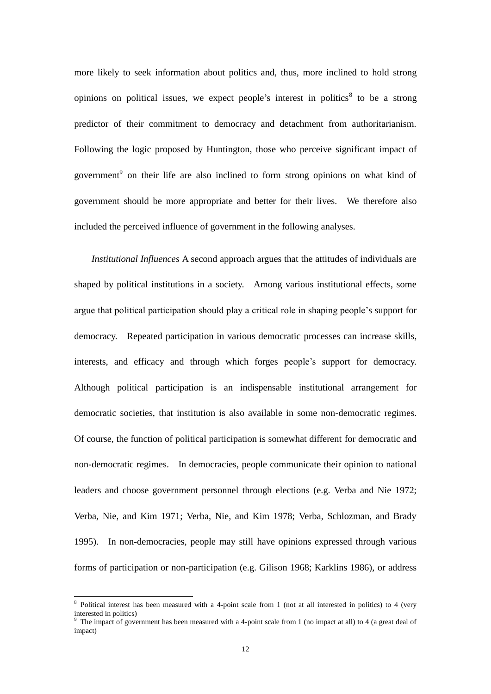more likely to seek information about politics and, thus, more inclined to hold strong opinions on political issues, we expect people's interest in politics<sup>8</sup> to be a strong predictor of their commitment to democracy and detachment from authoritarianism. Following the logic proposed by Huntington, those who perceive significant impact of government<sup>9</sup> on their life are also inclined to form strong opinions on what kind of government should be more appropriate and better for their lives. We therefore also included the perceived influence of government in the following analyses.

*Institutional Influences* A second approach argues that the attitudes of individuals are shaped by political institutions in a society. Among various institutional effects, some argue that political participation should play a critical role in shaping people's support for democracy. Repeated participation in various democratic processes can increase skills, interests, and efficacy and through which forges people's support for democracy. Although political participation is an indispensable institutional arrangement for democratic societies, that institution is also available in some non-democratic regimes. Of course, the function of political participation is somewhat different for democratic and non-democratic regimes. In democracies, people communicate their opinion to national leaders and choose government personnel through elections (e.g. Verba and Nie 1972; Verba, Nie, and Kim 1971; Verba, Nie, and Kim 1978; Verba, Schlozman, and Brady 1995). In non-democracies, people may still have opinions expressed through various forms of participation or non-participation (e.g. Gilison 1968; Karklins 1986), or address

<sup>&</sup>lt;sup>8</sup> Political interest has been measured with a 4-point scale from 1 (not at all interested in politics) to 4 (very interested in politics)

<sup>9</sup> The impact of government has been measured with a 4-point scale from 1 (no impact at all) to 4 (a great deal of impact)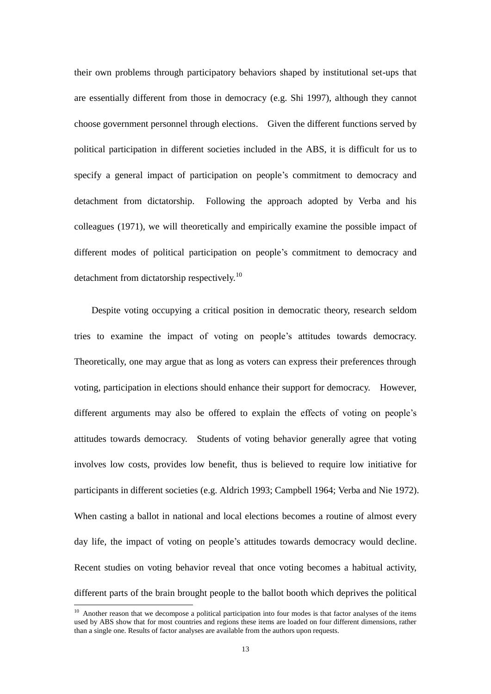their own problems through participatory behaviors shaped by institutional set-ups that are essentially different from those in democracy (e.g. Shi 1997), although they cannot choose government personnel through elections. Given the different functions served by political participation in different societies included in the ABS, it is difficult for us to specify a general impact of participation on people's commitment to democracy and detachment from dictatorship. Following the approach adopted by Verba and his colleagues (1971), we will theoretically and empirically examine the possible impact of different modes of political participation on people's commitment to democracy and detachment from dictatorship respectively.<sup>10</sup>

Despite voting occupying a critical position in democratic theory, research seldom tries to examine the impact of voting on people's attitudes towards democracy. Theoretically, one may argue that as long as voters can express their preferences through voting, participation in elections should enhance their support for democracy. However, different arguments may also be offered to explain the effects of voting on people's attitudes towards democracy. Students of voting behavior generally agree that voting involves low costs, provides low benefit, thus is believed to require low initiative for participants in different societies (e.g. Aldrich 1993; Campbell 1964; Verba and Nie 1972). When casting a ballot in national and local elections becomes a routine of almost every day life, the impact of voting on people's attitudes towards democracy would decline. Recent studies on voting behavior reveal that once voting becomes a habitual activity, different parts of the brain brought people to the ballot booth which deprives the political

<u>.</u>

<sup>&</sup>lt;sup>10</sup> Another reason that we decompose a political participation into four modes is that factor analyses of the items used by ABS show that for most countries and regions these items are loaded on four different dimensions, rather than a single one. Results of factor analyses are available from the authors upon requests.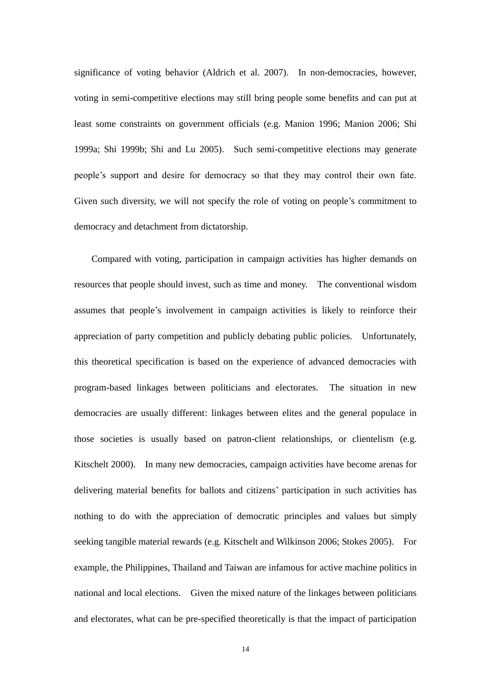significance of voting behavior (Aldrich et al. 2007). In non-democracies, however, voting in semi-competitive elections may still bring people some benefits and can put at least some constraints on government officials (e.g. Manion 1996; Manion 2006; Shi 1999a; Shi 1999b; Shi and Lu 2005). Such semi-competitive elections may generate people's support and desire for democracy so that they may control their own fate. Given such diversity, we will not specify the role of voting on people's commitment to democracy and detachment from dictatorship.

Compared with voting, participation in campaign activities has higher demands on resources that people should invest, such as time and money. The conventional wisdom assumes that people's involvement in campaign activities is likely to reinforce their appreciation of party competition and publicly debating public policies. Unfortunately, this theoretical specification is based on the experience of advanced democracies with program-based linkages between politicians and electorates. The situation in new democracies are usually different: linkages between elites and the general populace in those societies is usually based on patron-client relationships, or clientelism (e.g. Kitschelt 2000). In many new democracies, campaign activities have become arenas for delivering material benefits for ballots and citizens' participation in such activities has nothing to do with the appreciation of democratic principles and values but simply seeking tangible material rewards (e.g. Kitschelt and Wilkinson 2006; Stokes 2005). For example, the Philippines, Thailand and Taiwan are infamous for active machine politics in national and local elections. Given the mixed nature of the linkages between politicians and electorates, what can be pre-specified theoretically is that the impact of participation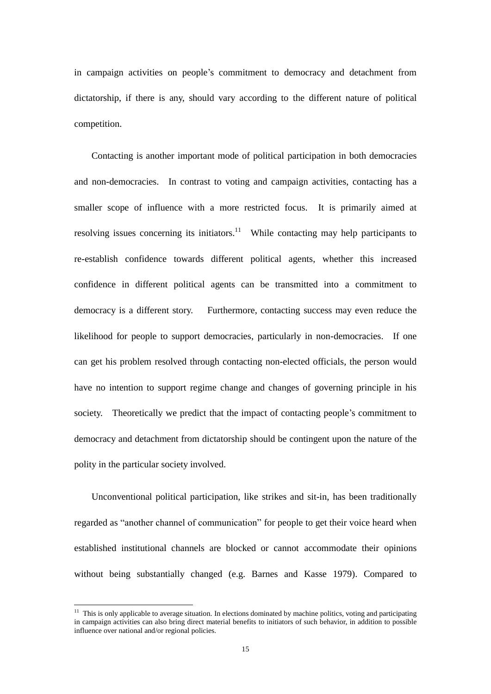in campaign activities on people's commitment to democracy and detachment from dictatorship, if there is any, should vary according to the different nature of political competition.

Contacting is another important mode of political participation in both democracies and non-democracies. In contrast to voting and campaign activities, contacting has a smaller scope of influence with a more restricted focus. It is primarily aimed at resolving issues concerning its initiators.<sup>11</sup> While contacting may help participants to re-establish confidence towards different political agents, whether this increased confidence in different political agents can be transmitted into a commitment to democracy is a different story. Furthermore, contacting success may even reduce the likelihood for people to support democracies, particularly in non-democracies. If one can get his problem resolved through contacting non-elected officials, the person would have no intention to support regime change and changes of governing principle in his society. Theoretically we predict that the impact of contacting people's commitment to democracy and detachment from dictatorship should be contingent upon the nature of the polity in the particular society involved.

Unconventional political participation, like strikes and sit-in, has been traditionally regarded as "another channel of communication" for people to get their voice heard when established institutional channels are blocked or cannot accommodate their opinions without being substantially changed (e.g. Barnes and Kasse 1979). Compared to

<u>.</u>

 $11$  This is only applicable to average situation. In elections dominated by machine politics, voting and participating in campaign activities can also bring direct material benefits to initiators of such behavior, in addition to possible influence over national and/or regional policies.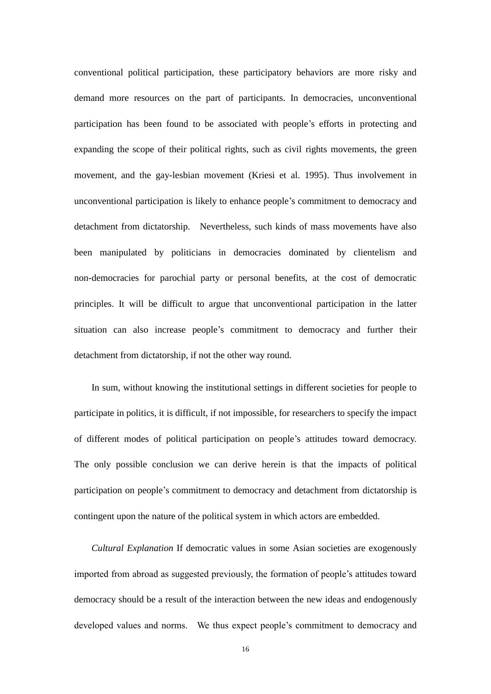conventional political participation, these participatory behaviors are more risky and demand more resources on the part of participants. In democracies, unconventional participation has been found to be associated with people's efforts in protecting and expanding the scope of their political rights, such as civil rights movements, the green movement, and the gay-lesbian movement (Kriesi et al. 1995). Thus involvement in unconventional participation is likely to enhance people's commitment to democracy and detachment from dictatorship. Nevertheless, such kinds of mass movements have also been manipulated by politicians in democracies dominated by clientelism and non-democracies for parochial party or personal benefits, at the cost of democratic principles. It will be difficult to argue that unconventional participation in the latter situation can also increase people's commitment to democracy and further their detachment from dictatorship, if not the other way round.

In sum, without knowing the institutional settings in different societies for people to participate in politics, it is difficult, if not impossible, for researchers to specify the impact of different modes of political participation on people's attitudes toward democracy. The only possible conclusion we can derive herein is that the impacts of political participation on people's commitment to democracy and detachment from dictatorship is contingent upon the nature of the political system in which actors are embedded.

*Cultural Explanation* If democratic values in some Asian societies are exogenously imported from abroad as suggested previously, the formation of people's attitudes toward democracy should be a result of the interaction between the new ideas and endogenously developed values and norms. We thus expect people's commitment to democracy and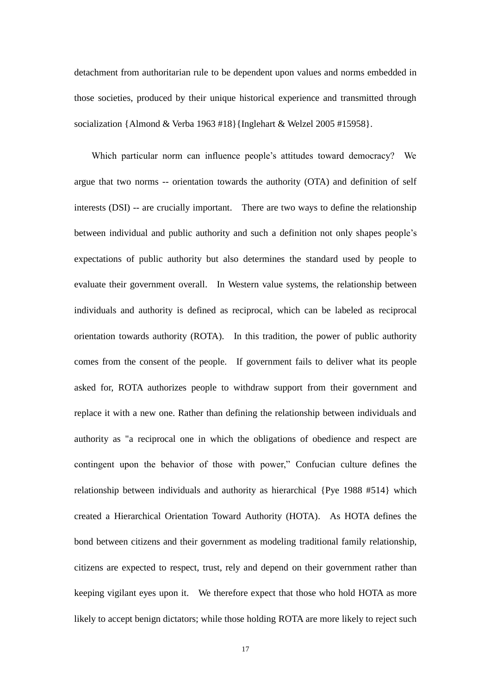detachment from authoritarian rule to be dependent upon values and norms embedded in those societies, produced by their unique historical experience and transmitted through socialization {Almond & Verba 1963 #18}{Inglehart & Welzel 2005 #15958}.

Which particular norm can influence people's attitudes toward democracy? We argue that two norms -- orientation towards the authority (OTA) and definition of self interests (DSI) -- are crucially important. There are two ways to define the relationship between individual and public authority and such a definition not only shapes people's expectations of public authority but also determines the standard used by people to evaluate their government overall. In Western value systems, the relationship between individuals and authority is defined as reciprocal, which can be labeled as reciprocal orientation towards authority (ROTA). In this tradition, the power of public authority comes from the consent of the people. If government fails to deliver what its people asked for, ROTA authorizes people to withdraw support from their government and replace it with a new one. Rather than defining the relationship between individuals and authority as "a reciprocal one in which the obligations of obedience and respect are contingent upon the behavior of those with power," Confucian culture defines the relationship between individuals and authority as hierarchical {Pye 1988 #514} which created a Hierarchical Orientation Toward Authority (HOTA). As HOTA defines the bond between citizens and their government as modeling traditional family relationship, citizens are expected to respect, trust, rely and depend on their government rather than keeping vigilant eyes upon it. We therefore expect that those who hold HOTA as more likely to accept benign dictators; while those holding ROTA are more likely to reject such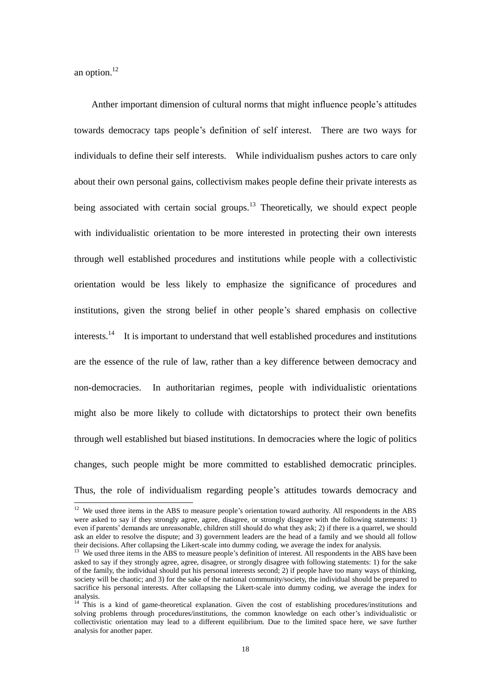an option. 12

<u>.</u>

Anther important dimension of cultural norms that might influence people's attitudes towards democracy taps people's definition of self interest. There are two ways for individuals to define their self interests. While individualism pushes actors to care only about their own personal gains, collectivism makes people define their private interests as being associated with certain social groups.<sup>13</sup> Theoretically, we should expect people with individualistic orientation to be more interested in protecting their own interests through well established procedures and institutions while people with a collectivistic orientation would be less likely to emphasize the significance of procedures and institutions, given the strong belief in other people's shared emphasis on collective interests.<sup>14</sup> It is important to understand that well established procedures and institutions are the essence of the rule of law, rather than a key difference between democracy and non-democracies. In authoritarian regimes, people with individualistic orientations might also be more likely to collude with dictatorships to protect their own benefits through well established but biased institutions. In democracies where the logic of politics changes, such people might be more committed to established democratic principles. Thus, the role of individualism regarding people's attitudes towards democracy and

 $12$  We used three items in the ABS to measure people's orientation toward authority. All respondents in the ABS were asked to say if they strongly agree, agree, disagree, or strongly disagree with the following statements: 1) even if parents' demands are unreasonable, children still should do what they ask; 2) if there is a quarrel, we should ask an elder to resolve the dispute; and 3) government leaders are the head of a family and we should all follow their decisions. After collapsing the Likert-scale into dummy coding, we average the index for analysis.

<sup>&</sup>lt;sup>13</sup> We used three items in the ABS to measure people's definition of interest. All respondents in the ABS have been asked to say if they strongly agree, agree, disagree, or strongly disagree with following statements: 1) for the sake of the family, the individual should put his personal interests second; 2) if people have too many ways of thinking, society will be chaotic; and 3) for the sake of the national community/society, the individual should be prepared to sacrifice his personal interests. After collapsing the Likert-scale into dummy coding, we average the index for analysis.

<sup>&</sup>lt;sup>14</sup> This is a kind of game-theoretical explanation. Given the cost of establishing procedures/institutions and solving problems through procedures/institutions, the common knowledge on each other's individualistic or collectivistic orientation may lead to a different equilibrium. Due to the limited space here, we save further analysis for another paper.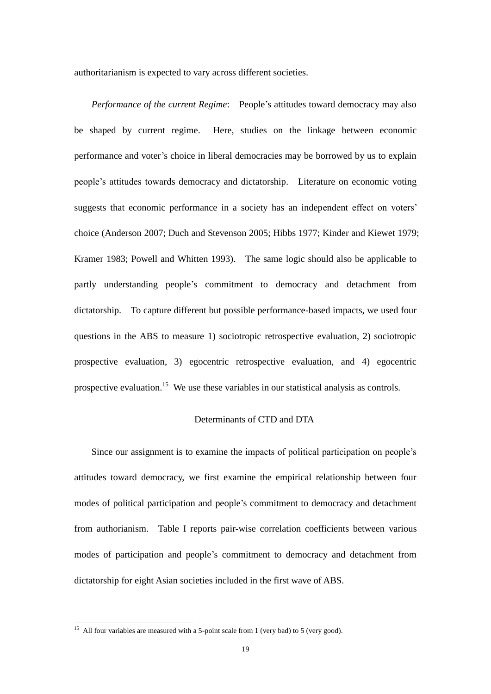authoritarianism is expected to vary across different societies.

*Performance of the current Regime*: People's attitudes toward democracy may also be shaped by current regime. Here, studies on the linkage between economic performance and voter's choice in liberal democracies may be borrowed by us to explain people's attitudes towards democracy and dictatorship. Literature on economic voting suggests that economic performance in a society has an independent effect on voters' choice (Anderson 2007; Duch and Stevenson 2005; Hibbs 1977; Kinder and Kiewet 1979; Kramer 1983; Powell and Whitten 1993). The same logic should also be applicable to partly understanding people's commitment to democracy and detachment from dictatorship. To capture different but possible performance-based impacts, we used four questions in the ABS to measure 1) sociotropic retrospective evaluation, 2) sociotropic prospective evaluation, 3) egocentric retrospective evaluation, and 4) egocentric prospective evaluation.<sup>15</sup> We use these variables in our statistical analysis as controls.

## Determinants of CTD and DTA

Since our assignment is to examine the impacts of political participation on people's attitudes toward democracy, we first examine the empirical relationship between four modes of political participation and people's commitment to democracy and detachment from authorianism. Table I reports pair-wise correlation coefficients between various modes of participation and people's commitment to democracy and detachment from dictatorship for eight Asian societies included in the first wave of ABS.

 $15$  All four variables are measured with a 5-point scale from 1 (very bad) to 5 (very good).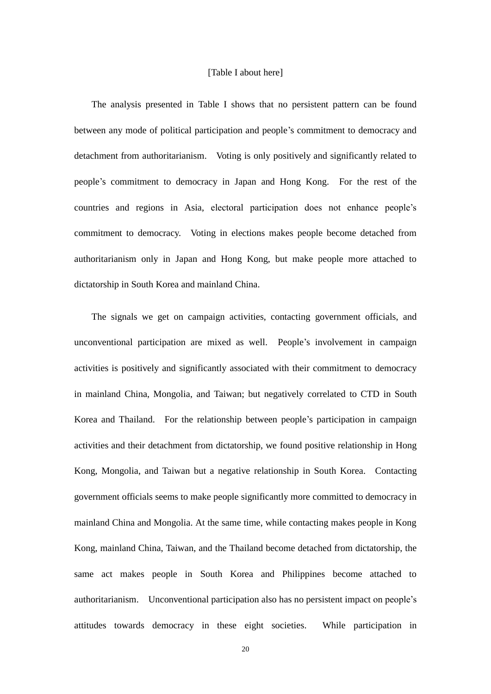### [Table I about here]

The analysis presented in Table I shows that no persistent pattern can be found between any mode of political participation and people's commitment to democracy and detachment from authoritarianism. Voting is only positively and significantly related to people's commitment to democracy in Japan and Hong Kong. For the rest of the countries and regions in Asia, electoral participation does not enhance people's commitment to democracy. Voting in elections makes people become detached from authoritarianism only in Japan and Hong Kong, but make people more attached to dictatorship in South Korea and mainland China.

The signals we get on campaign activities, contacting government officials, and unconventional participation are mixed as well. People's involvement in campaign activities is positively and significantly associated with their commitment to democracy in mainland China, Mongolia, and Taiwan; but negatively correlated to CTD in South Korea and Thailand. For the relationship between people's participation in campaign activities and their detachment from dictatorship, we found positive relationship in Hong Kong, Mongolia, and Taiwan but a negative relationship in South Korea. Contacting government officials seems to make people significantly more committed to democracy in mainland China and Mongolia. At the same time, while contacting makes people in Kong Kong, mainland China, Taiwan, and the Thailand become detached from dictatorship, the same act makes people in South Korea and Philippines become attached to authoritarianism. Unconventional participation also has no persistent impact on people's attitudes towards democracy in these eight societies. While participation in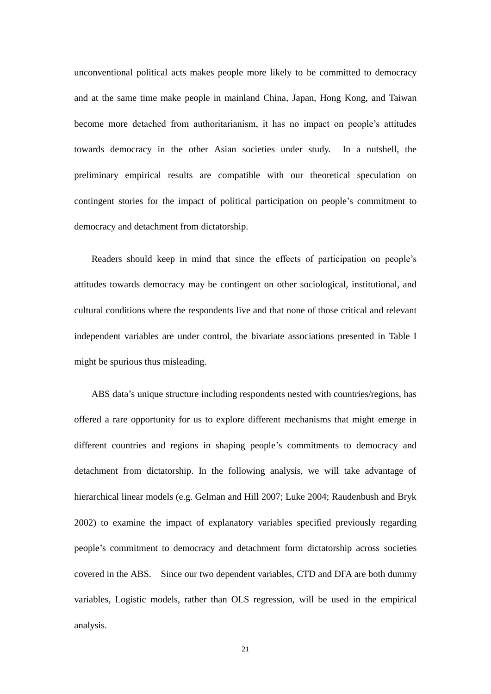unconventional political acts makes people more likely to be committed to democracy and at the same time make people in mainland China, Japan, Hong Kong, and Taiwan become more detached from authoritarianism, it has no impact on people's attitudes towards democracy in the other Asian societies under study. In a nutshell, the preliminary empirical results are compatible with our theoretical speculation on contingent stories for the impact of political participation on people's commitment to democracy and detachment from dictatorship.

Readers should keep in mind that since the effects of participation on people's attitudes towards democracy may be contingent on other sociological, institutional, and cultural conditions where the respondents live and that none of those critical and relevant independent variables are under control, the bivariate associations presented in Table I might be spurious thus misleading.

ABS data's unique structure including respondents nested with countries/regions, has offered a rare opportunity for us to explore different mechanisms that might emerge in different countries and regions in shaping people's commitments to democracy and detachment from dictatorship. In the following analysis, we will take advantage of hierarchical linear models (e.g. Gelman and Hill 2007; Luke 2004; Raudenbush and Bryk 2002) to examine the impact of explanatory variables specified previously regarding people's commitment to democracy and detachment form dictatorship across societies covered in the ABS. Since our two dependent variables, CTD and DFA are both dummy variables, Logistic models, rather than OLS regression, will be used in the empirical analysis.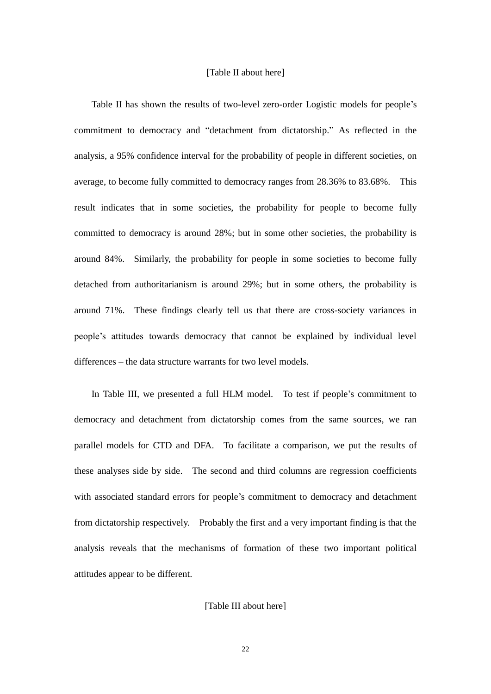## [Table II about here]

Table II has shown the results of two-level zero-order Logistic models for people's commitment to democracy and "detachment from dictatorship." As reflected in the analysis, a 95% confidence interval for the probability of people in different societies, on average, to become fully committed to democracy ranges from 28.36% to 83.68%. This result indicates that in some societies, the probability for people to become fully committed to democracy is around 28%; but in some other societies, the probability is around 84%. Similarly, the probability for people in some societies to become fully detached from authoritarianism is around 29%; but in some others, the probability is around 71%. These findings clearly tell us that there are cross-society variances in people's attitudes towards democracy that cannot be explained by individual level differences – the data structure warrants for two level models.

In Table III, we presented a full HLM model. To test if people's commitment to democracy and detachment from dictatorship comes from the same sources, we ran parallel models for CTD and DFA. To facilitate a comparison, we put the results of these analyses side by side. The second and third columns are regression coefficients with associated standard errors for people's commitment to democracy and detachment from dictatorship respectively. Probably the first and a very important finding is that the analysis reveals that the mechanisms of formation of these two important political attitudes appear to be different.

[Table III about here]

22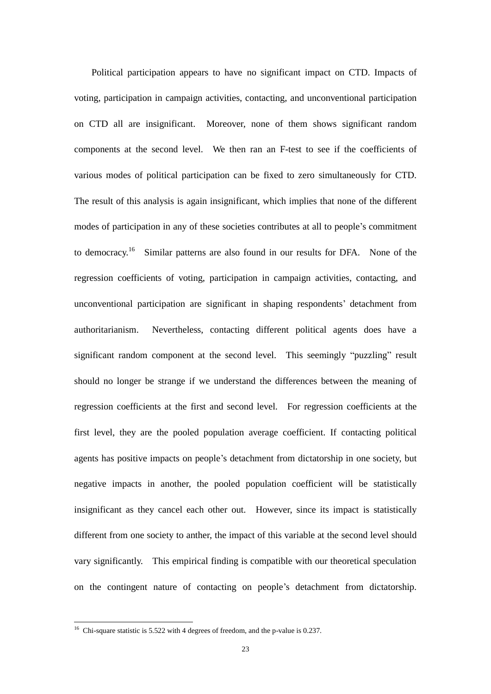Political participation appears to have no significant impact on CTD. Impacts of voting, participation in campaign activities, contacting, and unconventional participation on CTD all are insignificant. Moreover, none of them shows significant random components at the second level. We then ran an F-test to see if the coefficients of various modes of political participation can be fixed to zero simultaneously for CTD. The result of this analysis is again insignificant, which implies that none of the different modes of participation in any of these societies contributes at all to people's commitment to democracy.<sup>16</sup> Similar patterns are also found in our results for DFA. None of the regression coefficients of voting, participation in campaign activities, contacting, and unconventional participation are significant in shaping respondents' detachment from authoritarianism. Nevertheless, contacting different political agents does have a significant random component at the second level. This seemingly "puzzling" result should no longer be strange if we understand the differences between the meaning of regression coefficients at the first and second level. For regression coefficients at the first level, they are the pooled population average coefficient. If contacting political agents has positive impacts on people's detachment from dictatorship in one society, but negative impacts in another, the pooled population coefficient will be statistically insignificant as they cancel each other out. However, since its impact is statistically different from one society to anther, the impact of this variable at the second level should vary significantly. This empirical finding is compatible with our theoretical speculation on the contingent nature of contacting on people's detachment from dictatorship.

<sup>&</sup>lt;sup>16</sup> Chi-square statistic is 5.522 with 4 degrees of freedom, and the p-value is 0.237.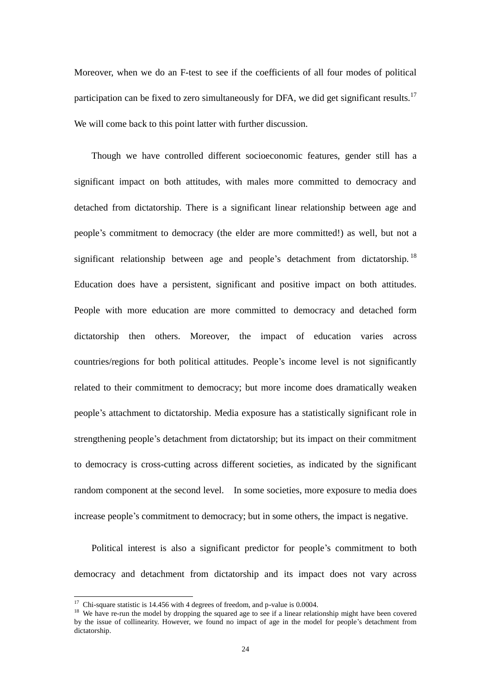Moreover, when we do an F-test to see if the coefficients of all four modes of political participation can be fixed to zero simultaneously for DFA, we did get significant results.<sup>17</sup> We will come back to this point latter with further discussion.

Though we have controlled different socioeconomic features, gender still has a significant impact on both attitudes, with males more committed to democracy and detached from dictatorship. There is a significant linear relationship between age and people's commitment to democracy (the elder are more committed!) as well, but not a significant relationship between age and people's detachment from dictatorship.  $^{18}$ Education does have a persistent, significant and positive impact on both attitudes. People with more education are more committed to democracy and detached form dictatorship then others. Moreover, the impact of education varies across countries/regions for both political attitudes. People's income level is not significantly related to their commitment to democracy; but more income does dramatically weaken people's attachment to dictatorship. Media exposure has a statistically significant role in strengthening people's detachment from dictatorship; but its impact on their commitment to democracy is cross-cutting across different societies, as indicated by the significant random component at the second level. In some societies, more exposure to media does increase people's commitment to democracy; but in some others, the impact is negative.

Political interest is also a significant predictor for people's commitment to both democracy and detachment from dictatorship and its impact does not vary across

<sup>&</sup>lt;sup>17</sup> Chi-square statistic is 14.456 with 4 degrees of freedom, and p-value is 0.0004.

<sup>&</sup>lt;sup>18</sup> We have re-run the model by dropping the squared age to see if a linear relationship might have been covered by the issue of collinearity. However, we found no impact of age in the model for people's detachment from dictatorship.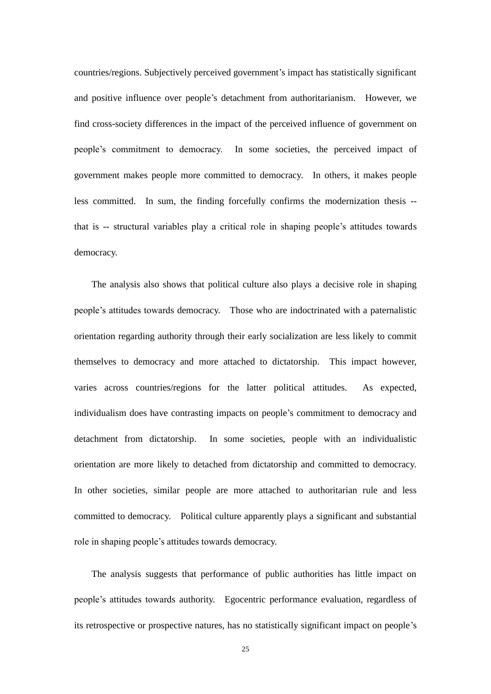countries/regions. Subjectively perceived government's impact has statistically significant and positive influence over people's detachment from authoritarianism. However, we find cross-society differences in the impact of the perceived influence of government on people's commitment to democracy. In some societies, the perceived impact of government makes people more committed to democracy. In others, it makes people less committed. In sum, the finding forcefully confirms the modernization thesis - that is -- structural variables play a critical role in shaping people's attitudes towards democracy.

The analysis also shows that political culture also plays a decisive role in shaping people's attitudes towards democracy. Those who are indoctrinated with a paternalistic orientation regarding authority through their early socialization are less likely to commit themselves to democracy and more attached to dictatorship. This impact however, varies across countries/regions for the latter political attitudes. As expected, individualism does have contrasting impacts on people's commitment to democracy and detachment from dictatorship. In some societies, people with an individualistic orientation are more likely to detached from dictatorship and committed to democracy. In other societies, similar people are more attached to authoritarian rule and less committed to democracy. Political culture apparently plays a significant and substantial role in shaping people's attitudes towards democracy.

The analysis suggests that performance of public authorities has little impact on people's attitudes towards authority. Egocentric performance evaluation, regardless of its retrospective or prospective natures, has no statistically significant impact on people's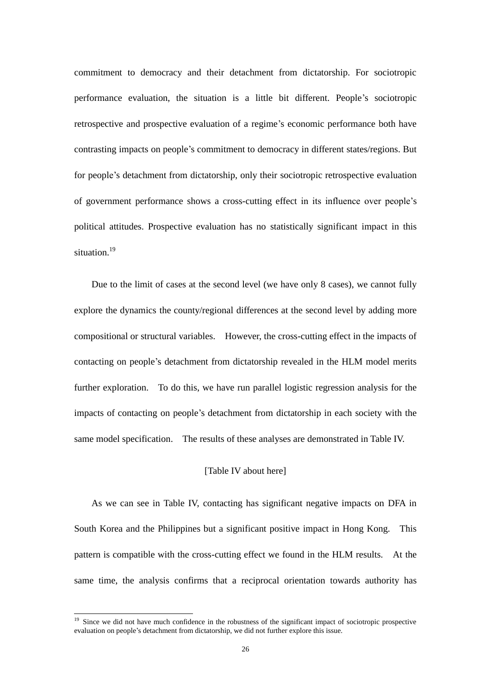commitment to democracy and their detachment from dictatorship. For sociotropic performance evaluation, the situation is a little bit different. People's sociotropic retrospective and prospective evaluation of a regime's economic performance both have contrasting impacts on people's commitment to democracy in different states/regions. But for people's detachment from dictatorship, only their sociotropic retrospective evaluation of government performance shows a cross-cutting effect in its influence over people's political attitudes. Prospective evaluation has no statistically significant impact in this situation.<sup>19</sup>

Due to the limit of cases at the second level (we have only 8 cases), we cannot fully explore the dynamics the county/regional differences at the second level by adding more compositional or structural variables. However, the cross-cutting effect in the impacts of contacting on people's detachment from dictatorship revealed in the HLM model merits further exploration. To do this, we have run parallel logistic regression analysis for the impacts of contacting on people's detachment from dictatorship in each society with the same model specification. The results of these analyses are demonstrated in Table IV.

## [Table IV about here]

As we can see in Table IV, contacting has significant negative impacts on DFA in South Korea and the Philippines but a significant positive impact in Hong Kong. This pattern is compatible with the cross-cutting effect we found in the HLM results. At the same time, the analysis confirms that a reciprocal orientation towards authority has

<sup>&</sup>lt;sup>19</sup> Since we did not have much confidence in the robustness of the significant impact of sociotropic prospective evaluation on people's detachment from dictatorship, we did not further explore this issue.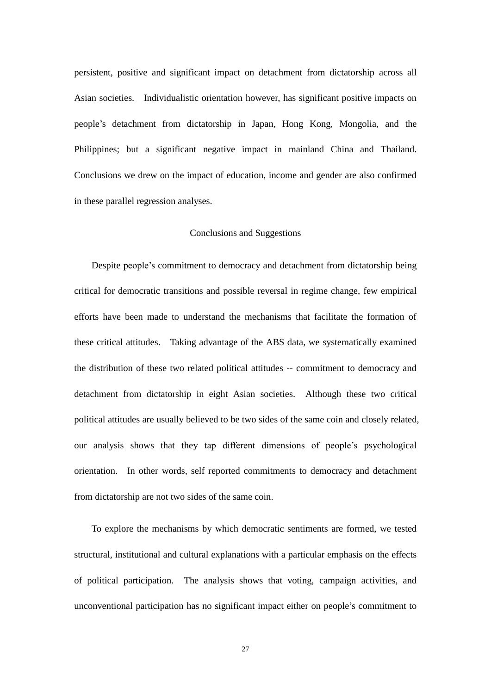persistent, positive and significant impact on detachment from dictatorship across all Asian societies. Individualistic orientation however, has significant positive impacts on people's detachment from dictatorship in Japan, Hong Kong, Mongolia, and the Philippines; but a significant negative impact in mainland China and Thailand. Conclusions we drew on the impact of education, income and gender are also confirmed in these parallel regression analyses.

#### Conclusions and Suggestions

Despite people's commitment to democracy and detachment from dictatorship being critical for democratic transitions and possible reversal in regime change, few empirical efforts have been made to understand the mechanisms that facilitate the formation of these critical attitudes. Taking advantage of the ABS data, we systematically examined the distribution of these two related political attitudes -- commitment to democracy and detachment from dictatorship in eight Asian societies. Although these two critical political attitudes are usually believed to be two sides of the same coin and closely related, our analysis shows that they tap different dimensions of people's psychological orientation. In other words, self reported commitments to democracy and detachment from dictatorship are not two sides of the same coin.

To explore the mechanisms by which democratic sentiments are formed, we tested structural, institutional and cultural explanations with a particular emphasis on the effects of political participation. The analysis shows that voting, campaign activities, and unconventional participation has no significant impact either on people's commitment to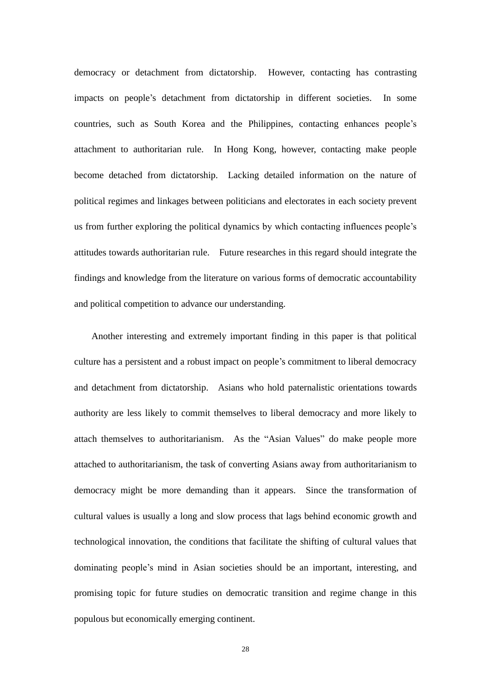democracy or detachment from dictatorship. However, contacting has contrasting impacts on people's detachment from dictatorship in different societies. In some countries, such as South Korea and the Philippines, contacting enhances people's attachment to authoritarian rule. In Hong Kong, however, contacting make people become detached from dictatorship. Lacking detailed information on the nature of political regimes and linkages between politicians and electorates in each society prevent us from further exploring the political dynamics by which contacting influences people's attitudes towards authoritarian rule. Future researches in this regard should integrate the findings and knowledge from the literature on various forms of democratic accountability and political competition to advance our understanding.

Another interesting and extremely important finding in this paper is that political culture has a persistent and a robust impact on people's commitment to liberal democracy and detachment from dictatorship. Asians who hold paternalistic orientations towards authority are less likely to commit themselves to liberal democracy and more likely to attach themselves to authoritarianism. As the "Asian Values" do make people more attached to authoritarianism, the task of converting Asians away from authoritarianism to democracy might be more demanding than it appears. Since the transformation of cultural values is usually a long and slow process that lags behind economic growth and technological innovation, the conditions that facilitate the shifting of cultural values that dominating people's mind in Asian societies should be an important, interesting, and promising topic for future studies on democratic transition and regime change in this populous but economically emerging continent.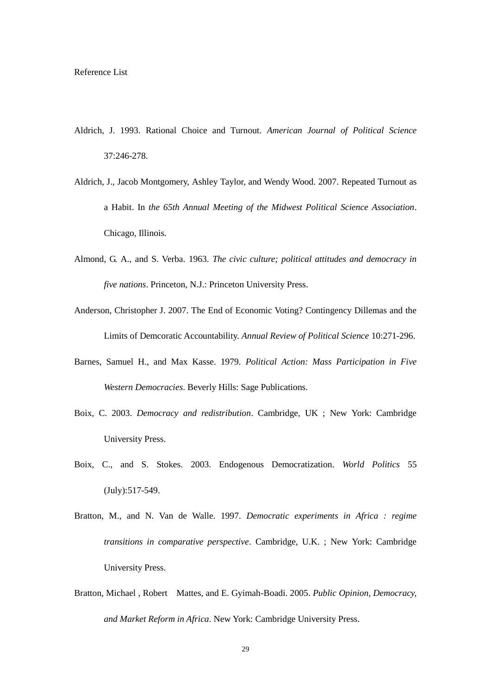- Aldrich, J. 1993. Rational Choice and Turnout. *American Journal of Political Science* 37:246-278.
- Aldrich, J., Jacob Montgomery, Ashley Taylor, and Wendy Wood. 2007. Repeated Turnout as a Habit. In *the 65th Annual Meeting of the Midwest Political Science Association*. Chicago, Illinois.
- Almond, G. A., and S. Verba. 1963. *The civic culture; political attitudes and democracy in five nations*. Princeton, N.J.: Princeton University Press.
- Anderson, Christopher J. 2007. The End of Economic Voting? Contingency Dillemas and the Limits of Demcoratic Accountability. *Annual Review of Political Science* 10:271-296.
- Barnes, Samuel H., and Max Kasse. 1979. *Political Action: Mass Participation in Five Western Democracies*. Beverly Hills: Sage Publications.
- Boix, C. 2003. *Democracy and redistribution*. Cambridge, UK ; New York: Cambridge University Press.
- Boix, C., and S. Stokes. 2003. Endogenous Democratization. *World Politics* 55 (July):517-549.
- Bratton, M., and N. Van de Walle. 1997. *Democratic experiments in Africa : regime transitions in comparative perspective*. Cambridge, U.K. ; New York: Cambridge University Press.
- Bratton, Michael , Robert Mattes, and E. Gyimah-Boadi. 2005. *Public Opinion, Democracy, and Market Reform in Africa*. New York: Cambridge University Press.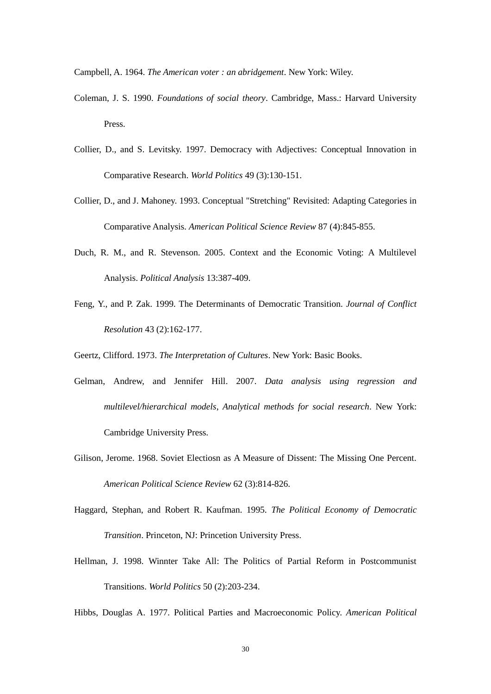Campbell, A. 1964. *The American voter : an abridgement*. New York: Wiley.

- Coleman, J. S. 1990. *Foundations of social theory*. Cambridge, Mass.: Harvard University Press.
- Collier, D., and S. Levitsky. 1997. Democracy with Adjectives: Conceptual Innovation in Comparative Research. *World Politics* 49 (3):130-151.
- Collier, D., and J. Mahoney. 1993. Conceptual "Stretching" Revisited: Adapting Categories in Comparative Analysis. *American Political Science Review* 87 (4):845-855.
- Duch, R. M., and R. Stevenson. 2005. Context and the Economic Voting: A Multilevel Analysis. *Political Analysis* 13:387-409.
- Feng, Y., and P. Zak. 1999. The Determinants of Democratic Transition. *Journal of Conflict Resolution* 43 (2):162-177.

Geertz, Clifford. 1973. *The Interpretation of Cultures*. New York: Basic Books.

- Gelman, Andrew, and Jennifer Hill. 2007. *Data analysis using regression and multilevel/hierarchical models*, *Analytical methods for social research*. New York: Cambridge University Press.
- Gilison, Jerome. 1968. Soviet Electiosn as A Measure of Dissent: The Missing One Percent. *American Political Science Review* 62 (3):814-826.
- Haggard, Stephan, and Robert R. Kaufman. 1995. *The Political Economy of Democratic Transition*. Princeton, NJ: Princetion University Press.
- Hellman, J. 1998. Winnter Take All: The Politics of Partial Reform in Postcommunist Transitions. *World Politics* 50 (2):203-234.

Hibbs, Douglas A. 1977. Political Parties and Macroeconomic Policy. *American Political*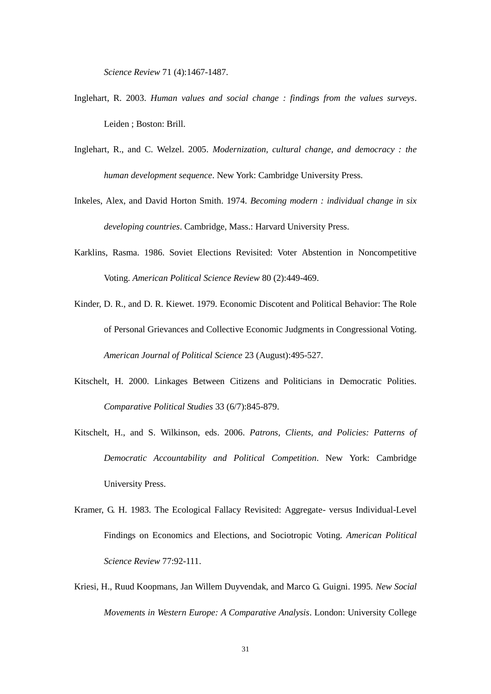*Science Review* 71 (4):1467-1487.

- Inglehart, R. 2003. *Human values and social change : findings from the values surveys*. Leiden ; Boston: Brill.
- Inglehart, R., and C. Welzel. 2005. *Modernization, cultural change, and democracy : the human development sequence*. New York: Cambridge University Press.
- Inkeles, Alex, and David Horton Smith. 1974. *Becoming modern : individual change in six developing countries*. Cambridge, Mass.: Harvard University Press.
- Karklins, Rasma. 1986. Soviet Elections Revisited: Voter Abstention in Noncompetitive Voting. *American Political Science Review* 80 (2):449-469.
- Kinder, D. R., and D. R. Kiewet. 1979. Economic Discotent and Political Behavior: The Role of Personal Grievances and Collective Economic Judgments in Congressional Voting. *American Journal of Political Science* 23 (August):495-527.
- Kitschelt, H. 2000. Linkages Between Citizens and Politicians in Democratic Polities. *Comparative Political Studies* 33 (6/7):845-879.
- Kitschelt, H., and S. Wilkinson, eds. 2006. *Patrons, Clients, and Policies: Patterns of Democratic Accountability and Political Competition*. New York: Cambridge University Press.
- Kramer, G. H. 1983. The Ecological Fallacy Revisited: Aggregate- versus Individual-Level Findings on Economics and Elections, and Sociotropic Voting. *American Political Science Review* 77:92-111.
- Kriesi, H., Ruud Koopmans, Jan Willem Duyvendak, and Marco G. Guigni. 1995. *New Social Movements in Western Europe: A Comparative Analysis*. London: University College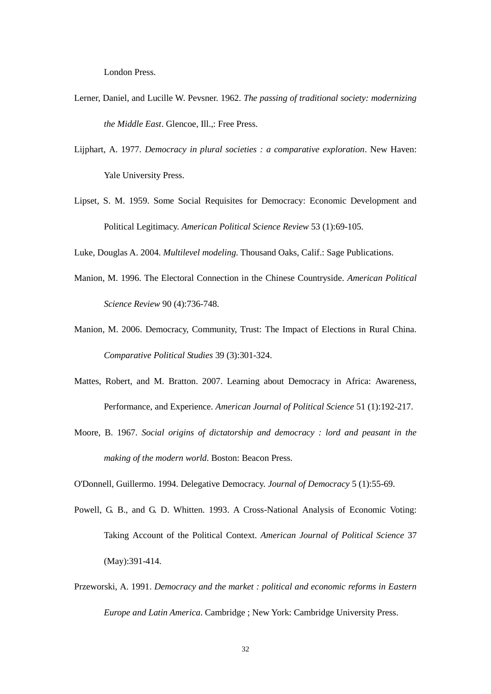London Press.

- Lerner, Daniel, and Lucille W. Pevsner. 1962. *The passing of traditional society: modernizing the Middle East*. Glencoe, Ill.,: Free Press.
- Lijphart, A. 1977. *Democracy in plural societies : a comparative exploration*. New Haven: Yale University Press.
- Lipset, S. M. 1959. Some Social Requisites for Democracy: Economic Development and Political Legitimacy. *American Political Science Review* 53 (1):69-105.

Luke, Douglas A. 2004. *Multilevel modeling*. Thousand Oaks, Calif.: Sage Publications.

- Manion, M. 1996. The Electoral Connection in the Chinese Countryside. *American Political Science Review* 90 (4):736-748.
- Manion, M. 2006. Democracy, Community, Trust: The Impact of Elections in Rural China. *Comparative Political Studies* 39 (3):301-324.
- Mattes, Robert, and M. Bratton. 2007. Learning about Democracy in Africa: Awareness, Performance, and Experience. *American Journal of Political Science* 51 (1):192-217.
- Moore, B. 1967. *Social origins of dictatorship and democracy : lord and peasant in the making of the modern world*. Boston: Beacon Press.
- O'Donnell, Guillermo. 1994. Delegative Democracy. *Journal of Democracy* 5 (1):55-69.
- Powell, G. B., and G. D. Whitten. 1993. A Cross-National Analysis of Economic Voting: Taking Account of the Political Context. *American Journal of Political Science* 37 (May):391-414.
- Przeworski, A. 1991. *Democracy and the market : political and economic reforms in Eastern Europe and Latin America*. Cambridge ; New York: Cambridge University Press.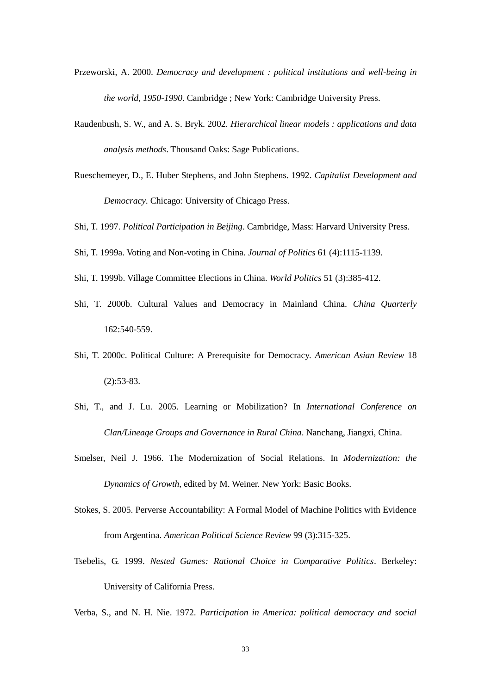- Przeworski, A. 2000. *Democracy and development : political institutions and well-being in the world, 1950-1990*. Cambridge ; New York: Cambridge University Press.
- Raudenbush, S. W., and A. S. Bryk. 2002. *Hierarchical linear models : applications and data analysis methods*. Thousand Oaks: Sage Publications.
- Rueschemeyer, D., E. Huber Stephens, and John Stephens. 1992. *Capitalist Development and Democracy*. Chicago: University of Chicago Press.
- Shi, T. 1997. *Political Participation in Beijing*. Cambridge, Mass: Harvard University Press.
- Shi, T. 1999a. Voting and Non-voting in China. *Journal of Politics* 61 (4):1115-1139.
- Shi, T. 1999b. Village Committee Elections in China. *World Politics* 51 (3):385-412.
- Shi, T. 2000b. Cultural Values and Democracy in Mainland China. *China Quarterly* 162:540-559.
- Shi, T. 2000c. Political Culture: A Prerequisite for Democracy. *American Asian Review* 18 (2):53-83.
- Shi, T., and J. Lu. 2005. Learning or Mobilization? In *International Conference on Clan/Lineage Groups and Governance in Rural China*. Nanchang, Jiangxi, China.
- Smelser, Neil J. 1966. The Modernization of Social Relations. In *Modernization: the Dynamics of Growth*, edited by M. Weiner. New York: Basic Books.
- Stokes, S. 2005. Perverse Accountability: A Formal Model of Machine Politics with Evidence from Argentina. *American Political Science Review* 99 (3):315-325.
- Tsebelis, G. 1999. *Nested Games: Rational Choice in Comparative Politics*. Berkeley: University of California Press.

Verba, S., and N. H. Nie. 1972. *Participation in America: political democracy and social*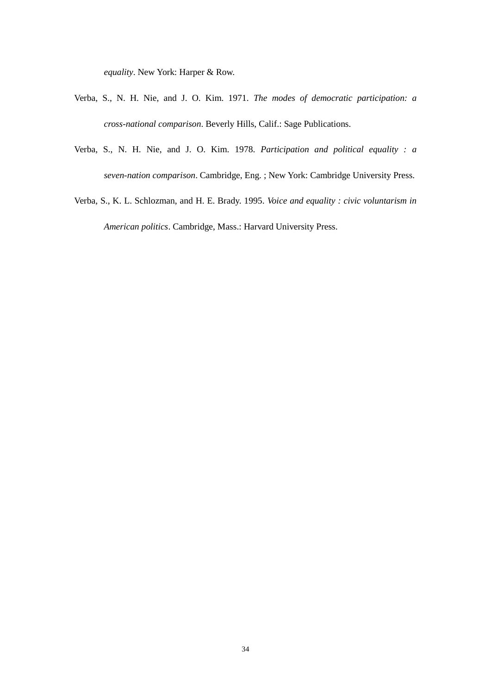*equality*. New York: Harper & Row.

- Verba, S., N. H. Nie, and J. O. Kim. 1971. *The modes of democratic participation: a cross-national comparison*. Beverly Hills, Calif.: Sage Publications.
- Verba, S., N. H. Nie, and J. O. Kim. 1978. *Participation and political equality : a seven-nation comparison*. Cambridge, Eng. ; New York: Cambridge University Press.
- Verba, S., K. L. Schlozman, and H. E. Brady. 1995. *Voice and equality : civic voluntarism in American politics*. Cambridge, Mass.: Harvard University Press.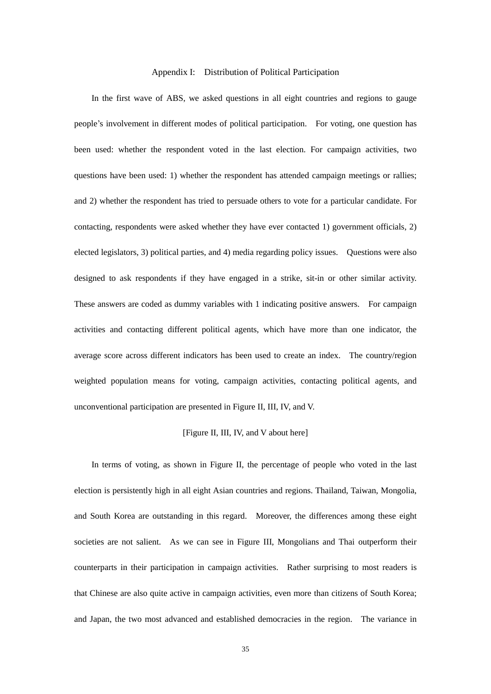## Appendix I: Distribution of Political Participation

In the first wave of ABS, we asked questions in all eight countries and regions to gauge people's involvement in different modes of political participation. For voting, one question has been used: whether the respondent voted in the last election. For campaign activities, two questions have been used: 1) whether the respondent has attended campaign meetings or rallies; and 2) whether the respondent has tried to persuade others to vote for a particular candidate. For contacting, respondents were asked whether they have ever contacted 1) government officials, 2) elected legislators, 3) political parties, and 4) media regarding policy issues. Questions were also designed to ask respondents if they have engaged in a strike, sit-in or other similar activity. These answers are coded as dummy variables with 1 indicating positive answers. For campaign activities and contacting different political agents, which have more than one indicator, the average score across different indicators has been used to create an index. The country/region weighted population means for voting, campaign activities, contacting political agents, and unconventional participation are presented in Figure II, III, IV, and V.

#### [Figure II, III, IV, and V about here]

In terms of voting, as shown in Figure II, the percentage of people who voted in the last election is persistently high in all eight Asian countries and regions. Thailand, Taiwan, Mongolia, and South Korea are outstanding in this regard. Moreover, the differences among these eight societies are not salient. As we can see in Figure III, Mongolians and Thai outperform their counterparts in their participation in campaign activities. Rather surprising to most readers is that Chinese are also quite active in campaign activities, even more than citizens of South Korea; and Japan, the two most advanced and established democracies in the region. The variance in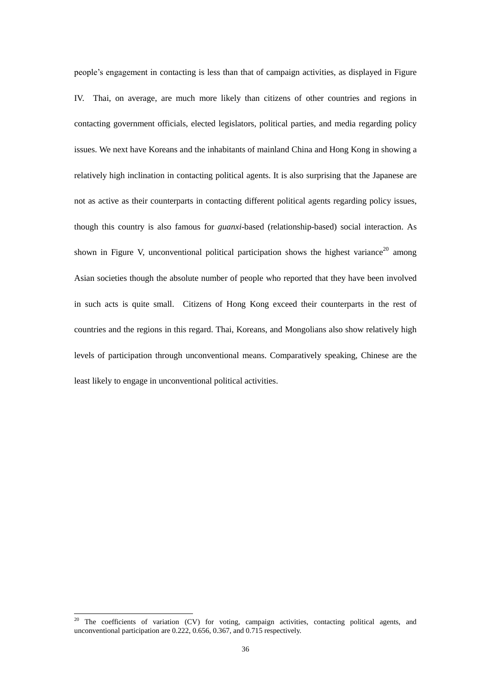people's engagement in contacting is less than that of campaign activities, as displayed in Figure IV. Thai, on average, are much more likely than citizens of other countries and regions in contacting government officials, elected legislators, political parties, and media regarding policy issues. We next have Koreans and the inhabitants of mainland China and Hong Kong in showing a relatively high inclination in contacting political agents. It is also surprising that the Japanese are not as active as their counterparts in contacting different political agents regarding policy issues, though this country is also famous for *guanxi*-based (relationship-based) social interaction. As shown in Figure V, unconventional political participation shows the highest variance<sup>20</sup> among Asian societies though the absolute number of people who reported that they have been involved in such acts is quite small. Citizens of Hong Kong exceed their counterparts in the rest of countries and the regions in this regard. Thai, Koreans, and Mongolians also show relatively high levels of participation through unconventional means. Comparatively speaking, Chinese are the least likely to engage in unconventional political activities.

<sup>&</sup>lt;sup>20</sup> The coefficients of variation (CV) for voting, campaign activities, contacting political agents, and unconventional participation are 0.222, 0.656, 0.367, and 0.715 respectively.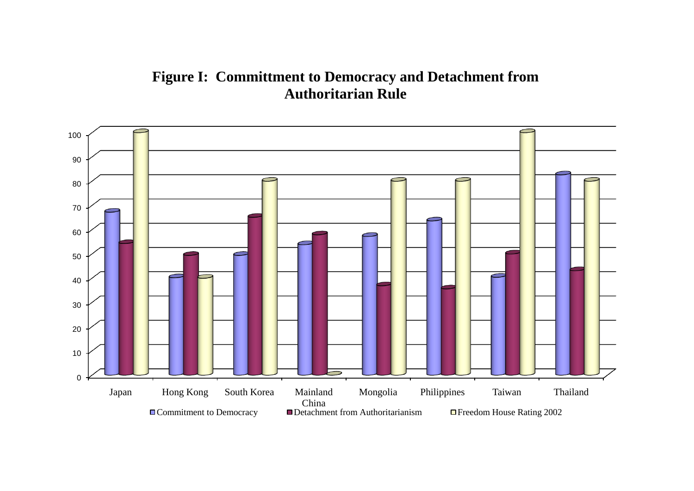# **Figure I: Committment to Democracy and Detachment from Authoritarian Rule**

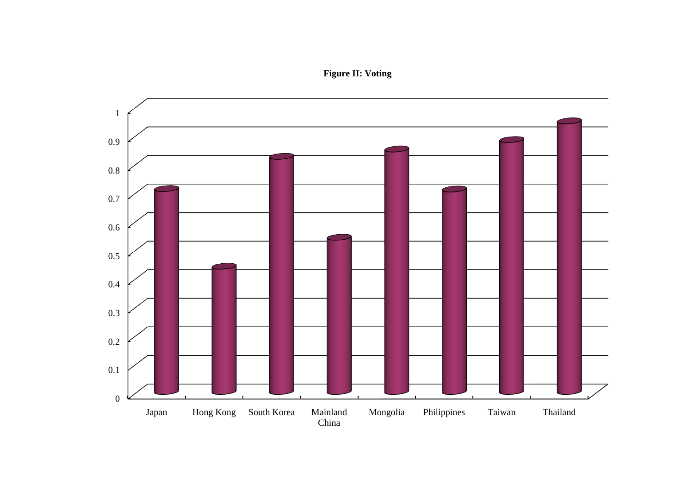**Figure II: Voting**

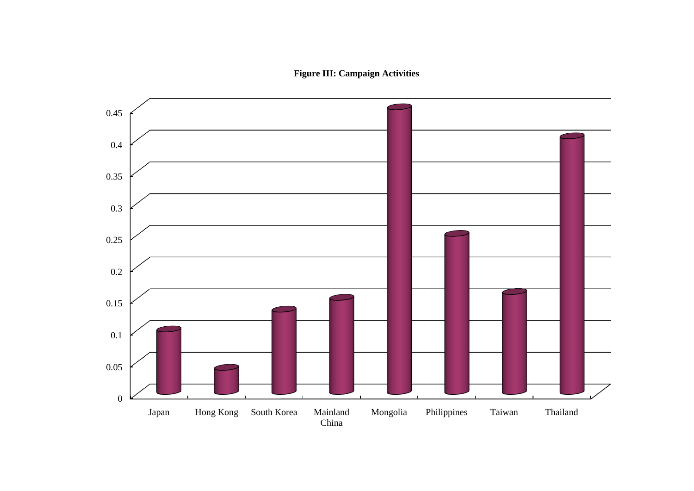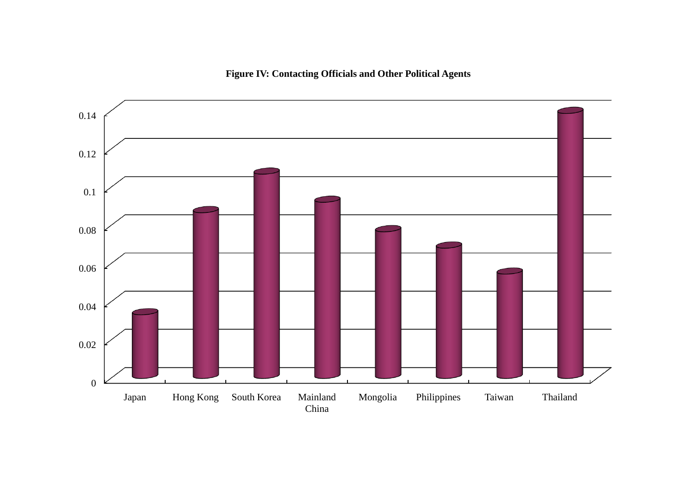

# **Figure IV: Contacting Officials and Other Political Agents**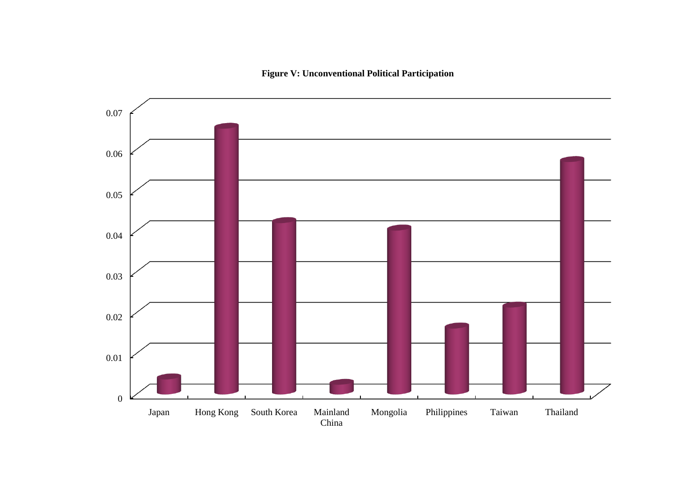**Figure V: Unconventional Political Participation**

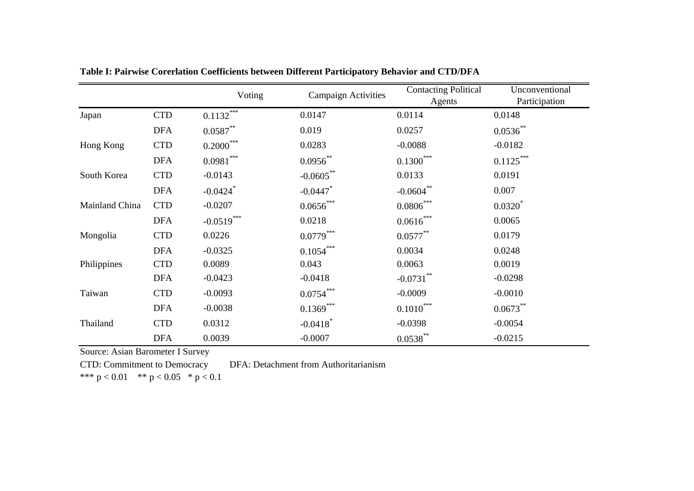|                |            | Voting                 | <b>Campaign Activities</b> | Contacting Political | Unconventional |  |
|----------------|------------|------------------------|----------------------------|----------------------|----------------|--|
|                |            |                        |                            | Agents               | Participation  |  |
| Japan          | <b>CTD</b> | $0.1132***$            | 0.0147                     | 0.0114               | 0.0148         |  |
|                | <b>DFA</b> | $0.0587**$             | 0.019                      | 0.0257               | $0.0536**$     |  |
| Hong Kong      | <b>CTD</b> | $0.2000***$            | 0.0283                     | $-0.0088$            | $-0.0182$      |  |
|                | <b>DFA</b> | $0.0981***$            | $0.0956^{**}$              | $0.1300***$          | $0.1125***$    |  |
| South Korea    | <b>CTD</b> | $-0.0143$              | $-0.0605***$               | 0.0133               | 0.0191         |  |
|                | <b>DFA</b> | $-0.0424$ <sup>*</sup> | $-0.0447$                  | $-0.0604$ **         | 0.007          |  |
| Mainland China | <b>CTD</b> | $-0.0207$              | $0.0656***$                | $0.0806***$          | $0.0320*$      |  |
|                | <b>DFA</b> | $-0.0519***$           | 0.0218                     | $0.0616***$          | 0.0065         |  |
| Mongolia       | <b>CTD</b> | 0.0226                 | $0.0779***$                | $0.0577**$           | 0.0179         |  |
|                | <b>DFA</b> | $-0.0325$              | $0.1054***$                | 0.0034               | 0.0248         |  |
| Philippines    | <b>CTD</b> | 0.0089                 | 0.043                      | 0.0063               | 0.0019         |  |
|                | <b>DFA</b> | $-0.0423$              | $-0.0418$                  | $-0.0731$ **         | $-0.0298$      |  |
| Taiwan         | <b>CTD</b> | $-0.0093$              | $0.0754***$                | $-0.0009$            | $-0.0010$      |  |
|                | <b>DFA</b> | $-0.0038$              | $0.1369***$                | $0.1010***$          | $0.0673**$     |  |
| Thailand       | <b>CTD</b> | 0.0312                 | $-0.0418$ <sup>*</sup>     | $-0.0398$            | $-0.0054$      |  |
|                | <b>DFA</b> | 0.0039                 | $-0.0007$                  | $0.0538***$          | $-0.0215$      |  |

**Table I: Pairwise Corerlation Coefficients between Different Participatory Behavior and CTD/DFA**

Source: Asian Barometer I Survey

CTD: Commitment to Democracy DFA: Detachment from Authoritarianism

\*\*\*  $p < 0.01$  \*\*  $p < 0.05$  \*  $p < 0.1$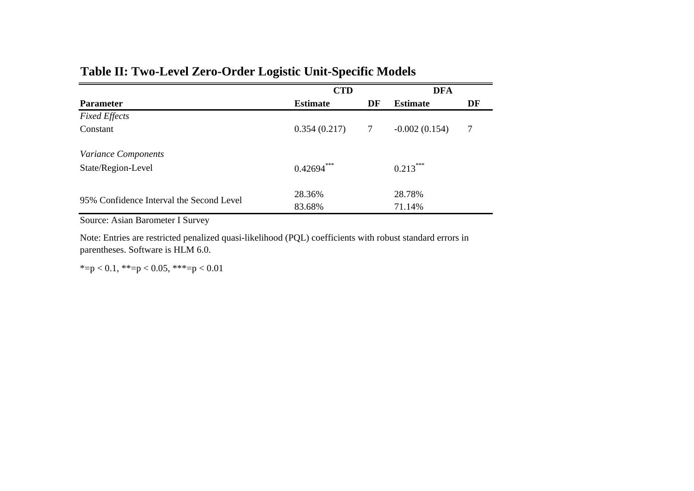# **Table II: Two-Level Zero-Order Logistic Unit-Specific Models**

|                                          | <b>CTD</b>      |        | <b>DFA</b>      |    |
|------------------------------------------|-----------------|--------|-----------------|----|
| <b>Parameter</b>                         | <b>Estimate</b> | DF     | <b>Estimate</b> | DF |
| <b>Fixed Effects</b>                     |                 |        |                 |    |
| Constant                                 | 0.354(0.217)    | $\tau$ | $-0.002(0.154)$ | 7  |
| Variance Components                      |                 |        |                 |    |
| State/Region-Level                       | $0.42694***$    |        | $0.213***$      |    |
|                                          | 28.36%          |        | 28.78%          |    |
| 95% Confidence Interval the Second Level | 83.68%          |        | 71.14%          |    |

Source: Asian Barometer I Survey

Note: Entries are restricted penalized quasi-likelihood (PQL) coefficients with robust standard errors in parentheses. Software is HLM 6.0.

\*=p < 0.1, \*\*=p < 0.05, \*\*\*=p < 0.01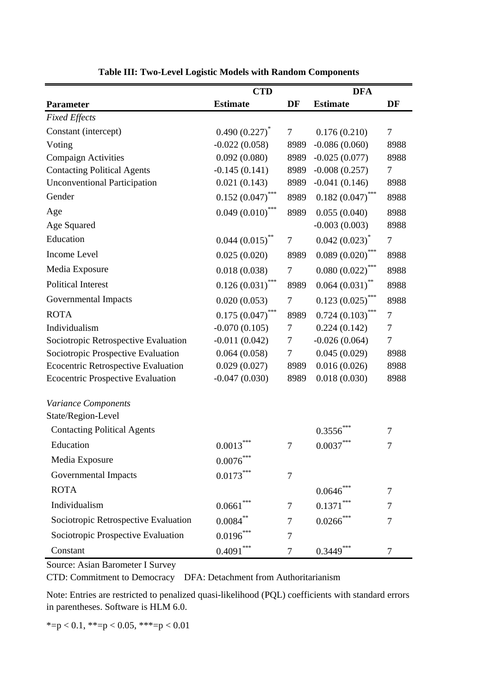|                                            | <b>CTD</b>         |                   | <b>DFA</b>            |                |  |
|--------------------------------------------|--------------------|-------------------|-----------------------|----------------|--|
| <b>Parameter</b>                           | <b>Estimate</b>    | DF                | <b>Estimate</b>       | DF             |  |
| <b>Fixed Effects</b>                       |                    |                   |                       |                |  |
| Constant (intercept)                       | $0.490(0.227)^{*}$ | 7                 | 0.176(0.210)          | $\overline{7}$ |  |
| Voting                                     | $-0.022(0.058)$    | 8989              | $-0.086(0.060)$       | 8988           |  |
| <b>Compaign Activities</b>                 | 0.092(0.080)       | 8989              | $-0.025(0.077)$       | 8988           |  |
| <b>Contacting Political Agents</b>         | $-0.145(0.141)$    | 8989              | $-0.008(0.257)$       | 7              |  |
| <b>Unconventional Participation</b>        | 0.021(0.143)       | 8989              | $-0.041(0.146)$       | 8988           |  |
| Gender                                     | $0.152(0.047)$ *** | 8989              | $0.182(0.047)$ ***    | 8988           |  |
| Age                                        | $0.049(0.010)$ *** | 8989              | 0.055(0.040)          | 8988           |  |
| Age Squared                                |                    |                   | $-0.003(0.003)$       | 8988           |  |
| Education                                  | $0.044(0.015)$ **  | 7                 | $0.042(0.023)^{*}$    | 7              |  |
| Income Level                               | 0.025(0.020)       | 8989              | $0.089(0.020)$ ***    | 8988           |  |
| Media Exposure                             | 0.018(0.038)       | 7                 | 0.080(0.022)          | 8988           |  |
| <b>Political Interest</b>                  | $0.126(0.031)$ *** | 8989              | $0.064(0.031)$ **     | 8988           |  |
| Governmental Impacts                       | 0.020(0.053)       | $\tau$            | $0.123(0.025)$ ***    | 8988           |  |
| <b>ROTA</b>                                | $0.175(0.047)$ *** | 8989              | $0.724$ $(0.103)$ *** | 7              |  |
| Individualism                              | $-0.070(0.105)$    | 7                 | 0.224(0.142)          | 7              |  |
| Sociotropic Retrospective Evaluation       | $-0.011(0.042)$    | 7                 | $-0.026(0.064)$       | $\overline{7}$ |  |
| Sociotropic Prospective Evaluation         | 0.064(0.058)       | 7                 | 0.045(0.029)          | 8988           |  |
| <b>Ecocentric Retrospective Evaluation</b> | 0.029(0.027)       | 8989              | 0.016(0.026)          | 8988           |  |
| <b>Ecocentric Prospective Evaluation</b>   | $-0.047(0.030)$    | 8989              | 0.018(0.030)          | 8988           |  |
| Variance Components<br>State/Region-Level  |                    |                   |                       |                |  |
| <b>Contacting Political Agents</b>         |                    |                   | 0.3556                | $\tau$         |  |
| Education                                  | ***<br>0.0013      | 7                 | 0.0037                | 7              |  |
| Media Exposure                             | $0.0076^{***}\,$   |                   |                       |                |  |
| Governmental Impacts                       | $0.0173***$        | $\tau$            |                       |                |  |
| <b>ROTA</b>                                |                    |                   | 0.0646                | $\overline{7}$ |  |
| Individualism                              | 0.0661             | $\tau$            | 0.1371                | 7              |  |
| Sociotropic Retrospective Evaluation       | $0.0084$ **        | $0.0266$ ***<br>7 |                       | 7              |  |
| Sociotropic Prospective Evaluation         | $0.0196^{***}$     | 7                 |                       |                |  |
| Constant                                   | $0.4091***$        | 7                 | $0.3449***$           | 7              |  |

**Table III: Two-Level Logistic Models with Random Components**

Source: Asian Barometer I Survey

CTD: Commitment to Democracy DFA: Detachment from Authoritarianism

Note: Entries are restricted to penalized quasi-likelihood (PQL) coefficients with standard errors in parentheses. Software is HLM 6.0.

\*=p < 0.1, \*\*=p < 0.05, \*\*\*=p < 0.01